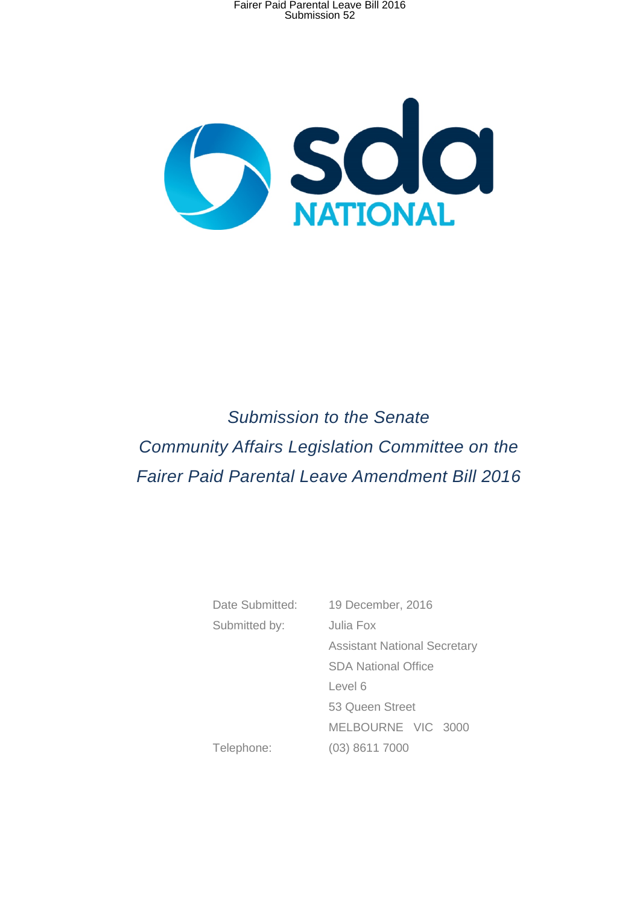

*Submission to the Senate Community Affairs Legislation Committee on the Fairer Paid Parental Leave Amendment Bill 2016* 

> Date Submitted: 19 December, 2016 Submitted by: Julia Fox Assistant National Secretary SDA National Office Level 6 53 Queen Street MELBOURNE VIC 3000 Telephone: (03) 8611 7000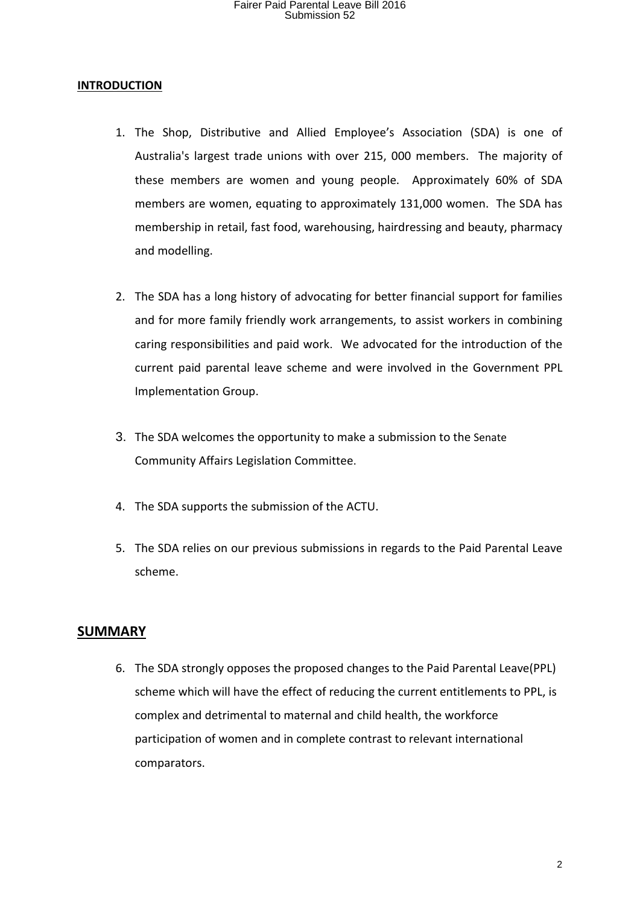#### **INTRODUCTION**

- 1. The Shop, Distributive and Allied Employee's Association (SDA) is one of Australia's largest trade unions with over 215, 000 members. The majority of these members are women and young people. Approximately 60% of SDA members are women, equating to approximately 131,000 women. The SDA has membership in retail, fast food, warehousing, hairdressing and beauty, pharmacy and modelling.
- 2. The SDA has a long history of advocating for better financial support for families and for more family friendly work arrangements, to assist workers in combining caring responsibilities and paid work. We advocated for the introduction of the current paid parental leave scheme and were involved in the Government PPL Implementation Group.
- 3. The SDA welcomes the opportunity to make a submission to the Senate Community Affairs Legislation Committee.
- 4. The SDA supports the submission of the ACTU.
- 5. The SDA relies on our previous submissions in regards to the Paid Parental Leave scheme.

#### **SUMMARY**

6. The SDA strongly opposes the proposed changes to the Paid Parental Leave(PPL) scheme which will have the effect of reducing the current entitlements to PPL, is complex and detrimental to maternal and child health, the workforce participation of women and in complete contrast to relevant international comparators.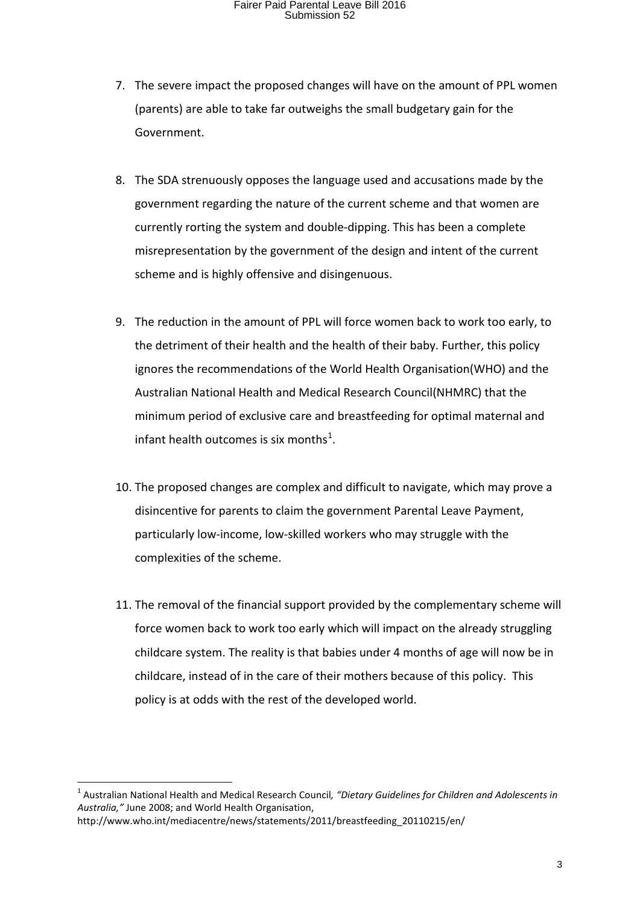- 7. The severe impact the proposed changes will have on the amount of PPL women (parents) are able to take far outweighs the small budgetary gain for the Government.
- 8. The SDA strenuously opposes the language used and accusations made by the government regarding the nature of the current scheme and that women are currently rorting the system and double-dipping. This has been a complete misrepresentation by the government of the design and intent of the current scheme and is highly offensive and disingenuous.
- 9. The reduction in the amount of PPL will force women back to work too early, to the detriment of their health and the health of their baby. Further, this policy ignores the recommendations of the World Health Organisation(WHO) and the Australian National Health and Medical Research Council(NHMRC) that the minimum period of exclusive care and breastfeeding for optimal maternal and infant health outcomes is six months<sup>[1](#page-2-0)</sup>.
- 10. The proposed changes are complex and difficult to navigate, which may prove a disincentive for parents to claim the government Parental Leave Payment, particularly low-income, low-skilled workers who may struggle with the complexities of the scheme.
- 11. The removal of the financial support provided by the complementary scheme will force women back to work too early which will impact on the already struggling childcare system. The reality is that babies under 4 months of age will now be in childcare, instead of in the care of their mothers because of this policy. This policy is at odds with the rest of the developed world.

<span id="page-2-0"></span> <sup>1</sup> Australian National Health and Medical Research Council*, "Dietary Guidelines for Children and Adolescents in Australia,"* June 2008; and World Health Organisation, http://www.who.int/mediacentre/news/statements/2011/breastfeeding\_20110215/en/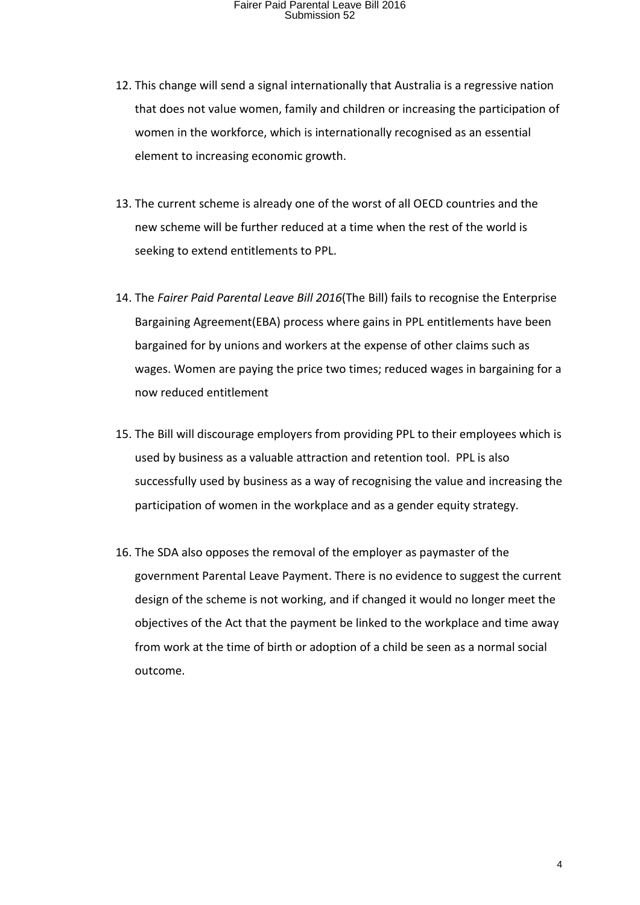- 12. This change will send a signal internationally that Australia is a regressive nation that does not value women, family and children or increasing the participation of women in the workforce, which is internationally recognised as an essential element to increasing economic growth.
- 13. The current scheme is already one of the worst of all OECD countries and the new scheme will be further reduced at a time when the rest of the world is seeking to extend entitlements to PPL.
- 14. The *Fairer Paid Parental Leave Bill 2016*(The Bill) fails to recognise the Enterprise Bargaining Agreement(EBA) process where gains in PPL entitlements have been bargained for by unions and workers at the expense of other claims such as wages. Women are paying the price two times; reduced wages in bargaining for a now reduced entitlement
- 15. The Bill will discourage employers from providing PPL to their employees which is used by business as a valuable attraction and retention tool. PPL is also successfully used by business as a way of recognising the value and increasing the participation of women in the workplace and as a gender equity strategy.
- 16. The SDA also opposes the removal of the employer as paymaster of the government Parental Leave Payment. There is no evidence to suggest the current design of the scheme is not working, and if changed it would no longer meet the objectives of the Act that the payment be linked to the workplace and time away from work at the time of birth or adoption of a child be seen as a normal social outcome.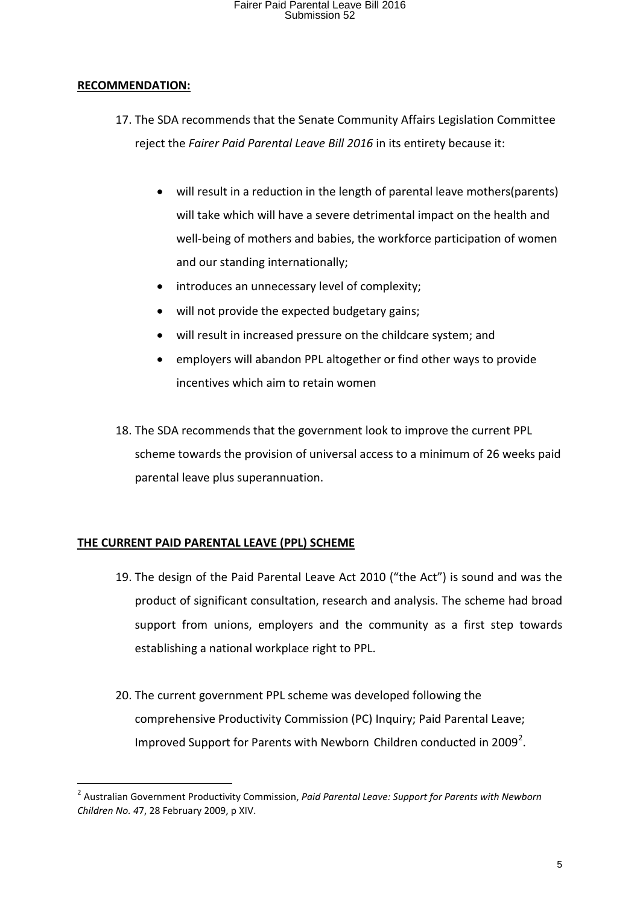#### **RECOMMENDATION:**

- 17. The SDA recommends that the Senate Community Affairs Legislation Committee reject the *Fairer Paid Parental Leave Bill 2016* in its entirety because it:
	- will result in a reduction in the length of parental leave mothers(parents) will take which will have a severe detrimental impact on the health and well-being of mothers and babies, the workforce participation of women and our standing internationally;
	- introduces an unnecessary level of complexity;
	- will not provide the expected budgetary gains;
	- will result in increased pressure on the childcare system; and
	- employers will abandon PPL altogether or find other ways to provide incentives which aim to retain women
- 18. The SDA recommends that the government look to improve the current PPL scheme towards the provision of universal access to a minimum of 26 weeks paid parental leave plus superannuation.

#### **THE CURRENT PAID PARENTAL LEAVE (PPL) SCHEME**

- 19. The design of the Paid Parental Leave Act 2010 ("the Act") is sound and was the product of significant consultation, research and analysis. The scheme had broad support from unions, employers and the community as a first step towards establishing a national workplace right to PPL.
- 20. The current government PPL scheme was developed following the comprehensive Productivity Commission (PC) Inquiry; Paid Parental Leave; Improved Support for Parents with Newborn Children conducted in [2](#page-4-0)009<sup>2</sup>.

<span id="page-4-0"></span> <sup>2</sup> Australian Government Productivity Commission, *Paid Parental Leave: Support for Parents with Newborn Children No. 4*7, 28 February 2009, p XIV.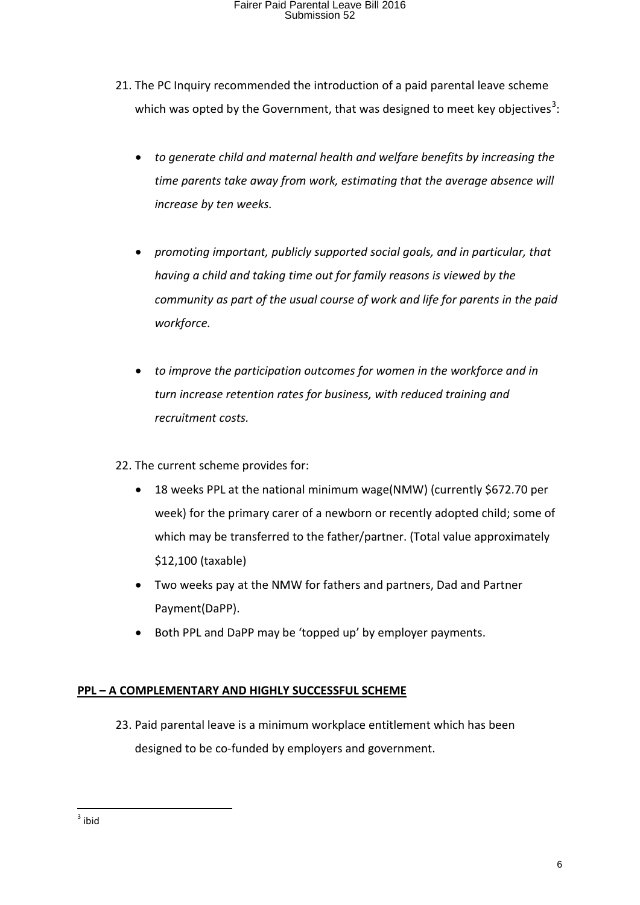- 21. The PC Inquiry recommended the introduction of a paid parental leave scheme which was opted by the Government, that was designed to meet key objectives<sup>[3](#page-5-0)</sup>:
	- *to generate child and maternal health and welfare benefits by increasing the time parents take away from work, estimating that the average absence will increase by ten weeks.*
	- *promoting important, publicly supported social goals, and in particular, that having a child and taking time out for family reasons is viewed by the community as part of the usual course of work and life for parents in the paid workforce.*
	- *to improve the participation outcomes for women in the workforce and in turn increase retention rates for business, with reduced training and recruitment costs.*
- 22. The current scheme provides for:
	- 18 weeks PPL at the national minimum wage(NMW) (currently \$672.70 per week) for the primary carer of a newborn or recently adopted child; some of which may be transferred to the father/partner. (Total value approximately \$12,100 (taxable)
	- Two weeks pay at the NMW for fathers and partners, Dad and Partner Payment(DaPP).
	- Both PPL and DaPP may be 'topped up' by employer payments.

#### **PPL – A COMPLEMENTARY AND HIGHLY SUCCESSFUL SCHEME**

23. Paid parental leave is a minimum workplace entitlement which has been designed to be co-funded by employers and government.

<span id="page-5-0"></span> $3$  ibid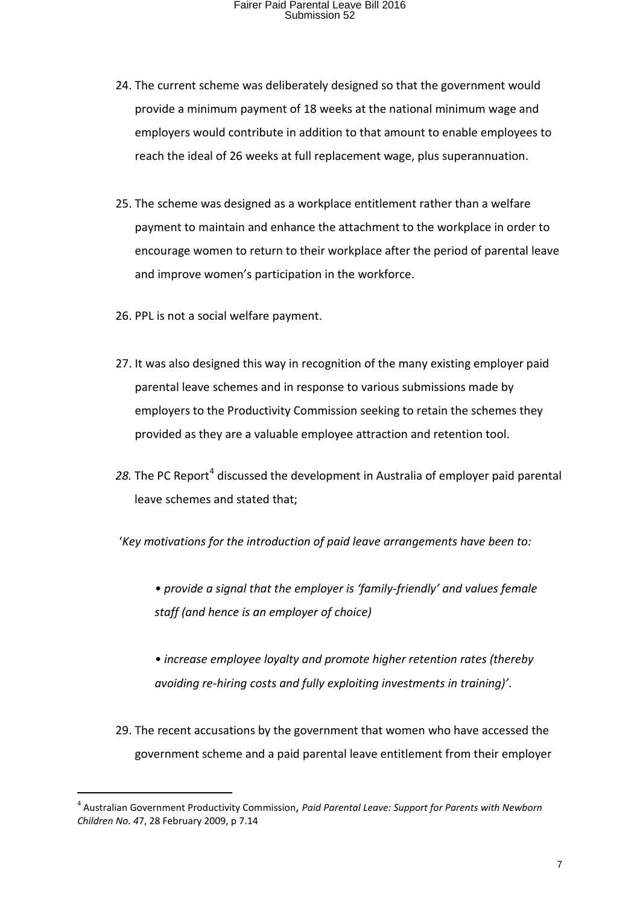- 24. The current scheme was deliberately designed so that the government would provide a minimum payment of 18 weeks at the national minimum wage and employers would contribute in addition to that amount to enable employees to reach the ideal of 26 weeks at full replacement wage, plus superannuation.
- 25. The scheme was designed as a workplace entitlement rather than a welfare payment to maintain and enhance the attachment to the workplace in order to encourage women to return to their workplace after the period of parental leave and improve women's participation in the workforce.
- 26. PPL is not a social welfare payment.
- 27. It was also designed this way in recognition of the many existing employer paid parental leave schemes and in response to various submissions made by employers to the Productivity Commission seeking to retain the schemes they provided as they are a valuable employee attraction and retention tool.
- 28. The PC Report<sup>[4](#page-6-0)</sup> discussed the development in Australia of employer paid parental leave schemes and stated that;
- '*Key motivations for the introduction of paid leave arrangements have been to:*
	- *provide a signal that the employer is 'family-friendly' and values female staff (and hence is an employer of choice)*
	- *increase employee loyalty and promote higher retention rates (thereby avoiding re-hiring costs and fully exploiting investments in training)'*.
- 29. The recent accusations by the government that women who have accessed the government scheme and a paid parental leave entitlement from their employer

<span id="page-6-0"></span> <sup>4</sup> Australian Government Productivity Commission, *Paid Parental Leave: Support for Parents with Newborn Children No. 4*7, 28 February 2009, p 7.14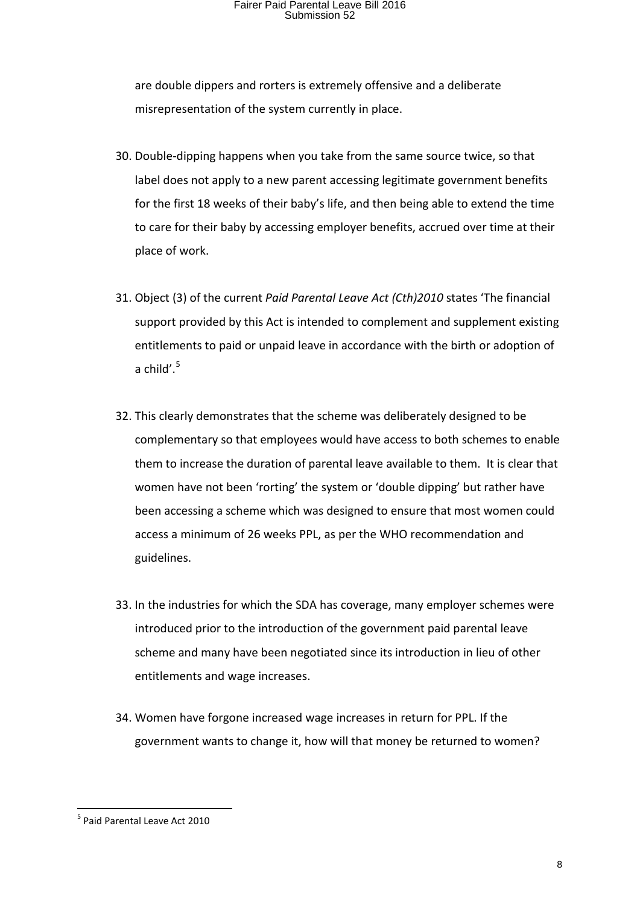are double dippers and rorters is extremely offensive and a deliberate misrepresentation of the system currently in place.

- 30. Double-dipping happens when you take from the same source twice, so that label does not apply to a new parent accessing legitimate government benefits for the first 18 weeks of their baby's life, and then being able to extend the time to care for their baby by accessing employer benefits, accrued over time at their place of work.
- 31. Object (3) of the current *Paid Parental Leave Act (Cth)2010* states 'The financial support provided by this Act is intended to complement and supplement existing entitlements to paid or unpaid leave in accordance with the birth or adoption of a child'. $5$
- 32. This clearly demonstrates that the scheme was deliberately designed to be complementary so that employees would have access to both schemes to enable them to increase the duration of parental leave available to them. It is clear that women have not been 'rorting' the system or 'double dipping' but rather have been accessing a scheme which was designed to ensure that most women could access a minimum of 26 weeks PPL, as per the WHO recommendation and guidelines.
- 33. In the industries for which the SDA has coverage, many employer schemes were introduced prior to the introduction of the government paid parental leave scheme and many have been negotiated since its introduction in lieu of other entitlements and wage increases.
- 34. Women have forgone increased wage increases in return for PPL. If the government wants to change it, how will that money be returned to women?

<span id="page-7-0"></span> <sup>5</sup> Paid Parental Leave Act 2010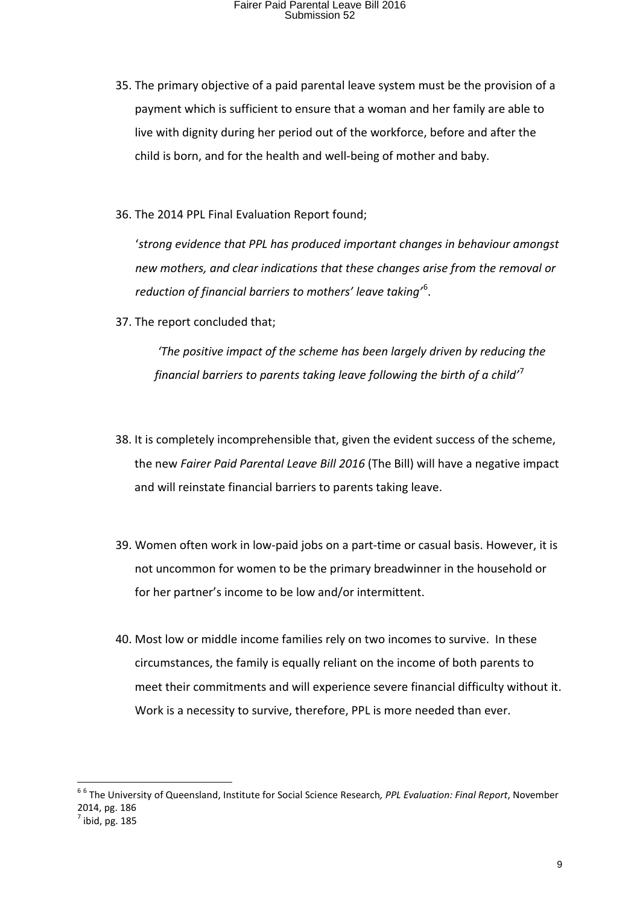- 35. The primary objective of a paid parental leave system must be the provision of a payment which is sufficient to ensure that a woman and her family are able to live with dignity during her period out of the workforce, before and after the child is born, and for the health and well-being of mother and baby.
- 36. The 2014 PPL Final Evaluation Report found;

'*strong evidence that PPL has produced important changes in behaviour amongst new mothers, and clear indications that these changes arise from the removal or reduction of financial barriers to mothers' leave taking'*[6](#page-8-0) .

37. The report concluded that;

*'The positive impact of the scheme has been largely driven by reducing the financial barriers to parents taking leave following the birth of a child'*[7](#page-8-1)

- 38. It is completely incomprehensible that, given the evident success of the scheme, the new *Fairer Paid Parental Leave Bill 2016* (The Bill) will have a negative impact and will reinstate financial barriers to parents taking leave.
- 39. Women often work in low-paid jobs on a part-time or casual basis. However, it is not uncommon for women to be the primary breadwinner in the household or for her partner's income to be low and/or intermittent.
- 40. Most low or middle income families rely on two incomes to survive. In these circumstances, the family is equally reliant on the income of both parents to meet their commitments and will experience severe financial difficulty without it. Work is a necessity to survive, therefore, PPL is more needed than ever.

<span id="page-8-1"></span><span id="page-8-0"></span> <sup>6</sup> <sup>6</sup> The University of Queensland, Institute for Social Science Research*, PPL Evaluation: Final Report*, November 2014, pg. 186  $<sup>7</sup>$  ibid, pg. 185</sup>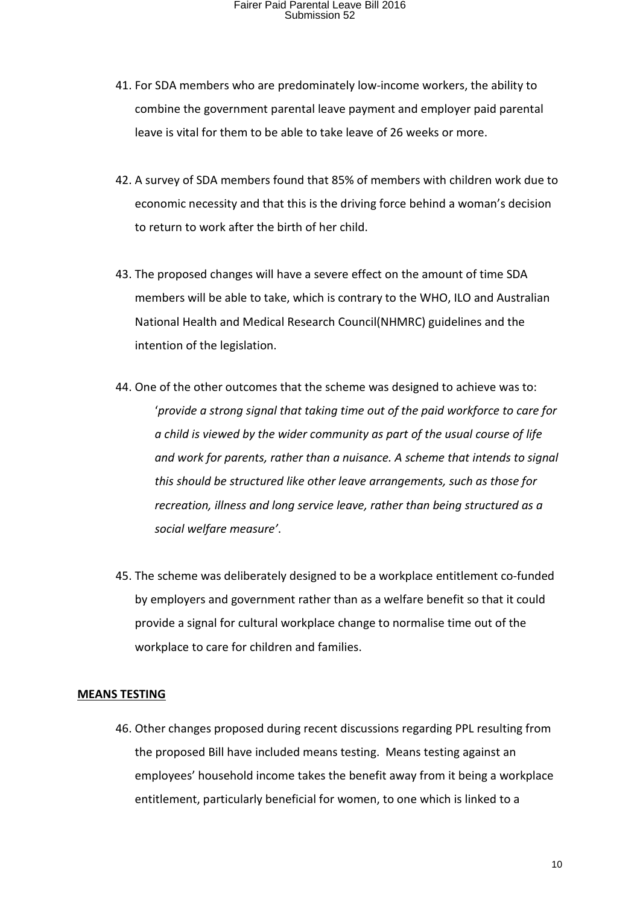- 41. For SDA members who are predominately low-income workers, the ability to combine the government parental leave payment and employer paid parental leave is vital for them to be able to take leave of 26 weeks or more.
- 42. A survey of SDA members found that 85% of members with children work due to economic necessity and that this is the driving force behind a woman's decision to return to work after the birth of her child.
- 43. The proposed changes will have a severe effect on the amount of time SDA members will be able to take, which is contrary to the WHO, ILO and Australian National Health and Medical Research Council(NHMRC) guidelines and the intention of the legislation.
- 44. One of the other outcomes that the scheme was designed to achieve was to: '*provide a strong signal that taking time out of the paid workforce to care for a child is viewed by the wider community as part of the usual course of life and work for parents, rather than a nuisance. A scheme that intends to signal this should be structured like other leave arrangements, such as those for recreation, illness and long service leave, rather than being structured as a social welfare measure'*.
- 45. The scheme was deliberately designed to be a workplace entitlement co-funded by employers and government rather than as a welfare benefit so that it could provide a signal for cultural workplace change to normalise time out of the workplace to care for children and families.

#### **MEANS TESTING**

46. Other changes proposed during recent discussions regarding PPL resulting from the proposed Bill have included means testing. Means testing against an employees' household income takes the benefit away from it being a workplace entitlement, particularly beneficial for women, to one which is linked to a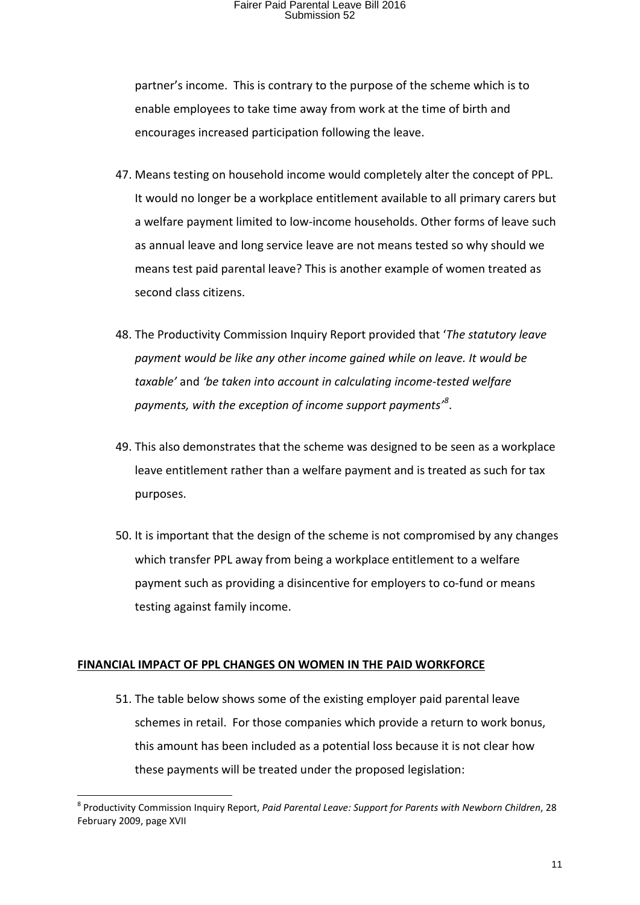partner's income. This is contrary to the purpose of the scheme which is to enable employees to take time away from work at the time of birth and encourages increased participation following the leave.

- 47. Means testing on household income would completely alter the concept of PPL. It would no longer be a workplace entitlement available to all primary carers but a welfare payment limited to low-income households. Other forms of leave such as annual leave and long service leave are not means tested so why should we means test paid parental leave? This is another example of women treated as second class citizens.
- 48. The Productivity Commission Inquiry Report provided that '*The statutory leave payment would be like any other income gained while on leave. It would be taxable'* and *'be taken into account in calculating income-tested welfare payments, with the exception of income support payments'[8](#page-10-0)* .
- 49. This also demonstrates that the scheme was designed to be seen as a workplace leave entitlement rather than a welfare payment and is treated as such for tax purposes.
- 50. It is important that the design of the scheme is not compromised by any changes which transfer PPL away from being a workplace entitlement to a welfare payment such as providing a disincentive for employers to co-fund or means testing against family income.

#### **FINANCIAL IMPACT OF PPL CHANGES ON WOMEN IN THE PAID WORKFORCE**

51. The table below shows some of the existing employer paid parental leave schemes in retail. For those companies which provide a return to work bonus, this amount has been included as a potential loss because it is not clear how these payments will be treated under the proposed legislation:

<span id="page-10-0"></span> <sup>8</sup> Productivity Commission Inquiry Report, *Paid Parental Leave: Support for Parents with Newborn Children*, 28 February 2009, page XVII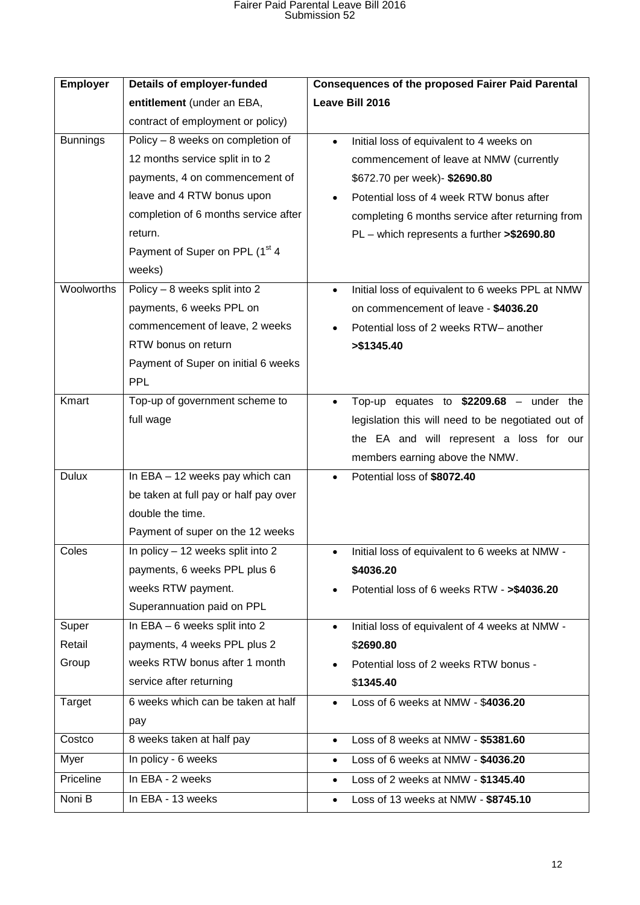| <b>Employer</b>               | <b>Details of employer-funded</b>                                                                                                                                                                                                                                                                                                                                                                            | <b>Consequences of the proposed Fairer Paid Parental</b>                                                                                                                                                                                                                                                                                                                                                                                          |
|-------------------------------|--------------------------------------------------------------------------------------------------------------------------------------------------------------------------------------------------------------------------------------------------------------------------------------------------------------------------------------------------------------------------------------------------------------|---------------------------------------------------------------------------------------------------------------------------------------------------------------------------------------------------------------------------------------------------------------------------------------------------------------------------------------------------------------------------------------------------------------------------------------------------|
|                               | entitlement (under an EBA,                                                                                                                                                                                                                                                                                                                                                                                   | Leave Bill 2016                                                                                                                                                                                                                                                                                                                                                                                                                                   |
|                               | contract of employment or policy)                                                                                                                                                                                                                                                                                                                                                                            |                                                                                                                                                                                                                                                                                                                                                                                                                                                   |
| <b>Bunnings</b><br>Woolworths | Policy - 8 weeks on completion of<br>12 months service split in to 2<br>payments, 4 on commencement of<br>leave and 4 RTW bonus upon<br>completion of 6 months service after<br>return.<br>Payment of Super on PPL (1 <sup>st</sup> 4<br>weeks)<br>Policy - 8 weeks split into 2<br>payments, 6 weeks PPL on<br>commencement of leave, 2 weeks<br>RTW bonus on return<br>Payment of Super on initial 6 weeks | Initial loss of equivalent to 4 weeks on<br>$\bullet$<br>commencement of leave at NMW (currently<br>\$672.70 per week)- \$2690.80<br>Potential loss of 4 week RTW bonus after<br>completing 6 months service after returning from<br>PL - which represents a further >\$2690.80<br>Initial loss of equivalent to 6 weeks PPL at NMW<br>$\bullet$<br>on commencement of leave - \$4036.20<br>Potential loss of 2 weeks RTW- another<br>> \$1345.40 |
| Kmart                         | <b>PPL</b><br>Top-up of government scheme to<br>full wage                                                                                                                                                                                                                                                                                                                                                    | Top-up equates to $$2209.68$ – under the<br>legislation this will need to be negotiated out of<br>the EA and will represent a loss for our<br>members earning above the NMW.                                                                                                                                                                                                                                                                      |
| <b>Dulux</b>                  | In EBA - 12 weeks pay which can<br>be taken at full pay or half pay over<br>double the time.<br>Payment of super on the 12 weeks                                                                                                                                                                                                                                                                             | Potential loss of \$8072.40<br>$\bullet$                                                                                                                                                                                                                                                                                                                                                                                                          |
| Coles                         | In policy - 12 weeks split into 2<br>payments, 6 weeks PPL plus 6<br>weeks RTW payment.<br>Superannuation paid on PPL                                                                                                                                                                                                                                                                                        | Initial loss of equivalent to 6 weeks at NMW -<br>$\bullet$<br>\$4036.20<br>Potential loss of 6 weeks RTW - >\$4036.20                                                                                                                                                                                                                                                                                                                            |
| Super                         | In EBA $-6$ weeks split into 2                                                                                                                                                                                                                                                                                                                                                                               | Initial loss of equivalent of 4 weeks at NMW -<br>$\bullet$                                                                                                                                                                                                                                                                                                                                                                                       |
| Retail                        | payments, 4 weeks PPL plus 2                                                                                                                                                                                                                                                                                                                                                                                 | \$2690.80                                                                                                                                                                                                                                                                                                                                                                                                                                         |
| Group                         | weeks RTW bonus after 1 month                                                                                                                                                                                                                                                                                                                                                                                | Potential loss of 2 weeks RTW bonus -                                                                                                                                                                                                                                                                                                                                                                                                             |
|                               | service after returning                                                                                                                                                                                                                                                                                                                                                                                      | \$1345.40                                                                                                                                                                                                                                                                                                                                                                                                                                         |
| Target                        | 6 weeks which can be taken at half<br>pay                                                                                                                                                                                                                                                                                                                                                                    | Loss of 6 weeks at NMW - \$4036.20<br>$\bullet$                                                                                                                                                                                                                                                                                                                                                                                                   |
| Costco                        | 8 weeks taken at half pay                                                                                                                                                                                                                                                                                                                                                                                    | Loss of 8 weeks at NMW - \$5381.60<br>$\bullet$                                                                                                                                                                                                                                                                                                                                                                                                   |
| Myer                          | In policy - 6 weeks                                                                                                                                                                                                                                                                                                                                                                                          | Loss of 6 weeks at NMW - \$4036.20<br>$\bullet$                                                                                                                                                                                                                                                                                                                                                                                                   |
| Priceline                     | In EBA - 2 weeks                                                                                                                                                                                                                                                                                                                                                                                             | Loss of 2 weeks at NMW - \$1345.40<br>$\bullet$                                                                                                                                                                                                                                                                                                                                                                                                   |
| Noni B                        | In EBA - 13 weeks                                                                                                                                                                                                                                                                                                                                                                                            | Loss of 13 weeks at NMW - \$8745.10<br>$\bullet$                                                                                                                                                                                                                                                                                                                                                                                                  |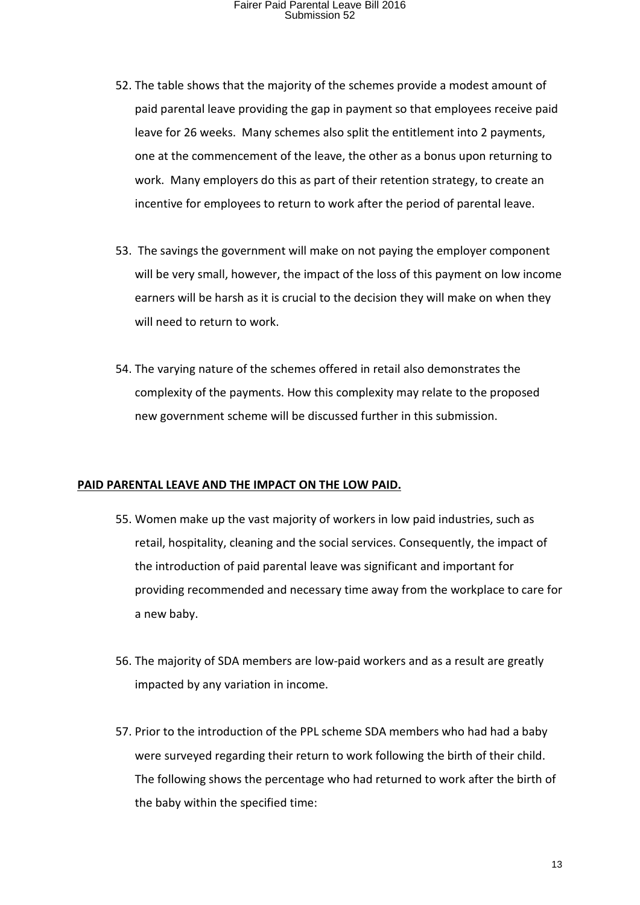- 52. The table shows that the majority of the schemes provide a modest amount of paid parental leave providing the gap in payment so that employees receive paid leave for 26 weeks. Many schemes also split the entitlement into 2 payments, one at the commencement of the leave, the other as a bonus upon returning to work. Many employers do this as part of their retention strategy, to create an incentive for employees to return to work after the period of parental leave.
- 53. The savings the government will make on not paying the employer component will be very small, however, the impact of the loss of this payment on low income earners will be harsh as it is crucial to the decision they will make on when they will need to return to work.
- 54. The varying nature of the schemes offered in retail also demonstrates the complexity of the payments. How this complexity may relate to the proposed new government scheme will be discussed further in this submission.

#### **PAID PARENTAL LEAVE AND THE IMPACT ON THE LOW PAID.**

- 55. Women make up the vast majority of workers in low paid industries, such as retail, hospitality, cleaning and the social services. Consequently, the impact of the introduction of paid parental leave was significant and important for providing recommended and necessary time away from the workplace to care for a new baby.
- 56. The majority of SDA members are low-paid workers and as a result are greatly impacted by any variation in income.
- 57. Prior to the introduction of the PPL scheme SDA members who had had a baby were surveyed regarding their return to work following the birth of their child. The following shows the percentage who had returned to work after the birth of the baby within the specified time: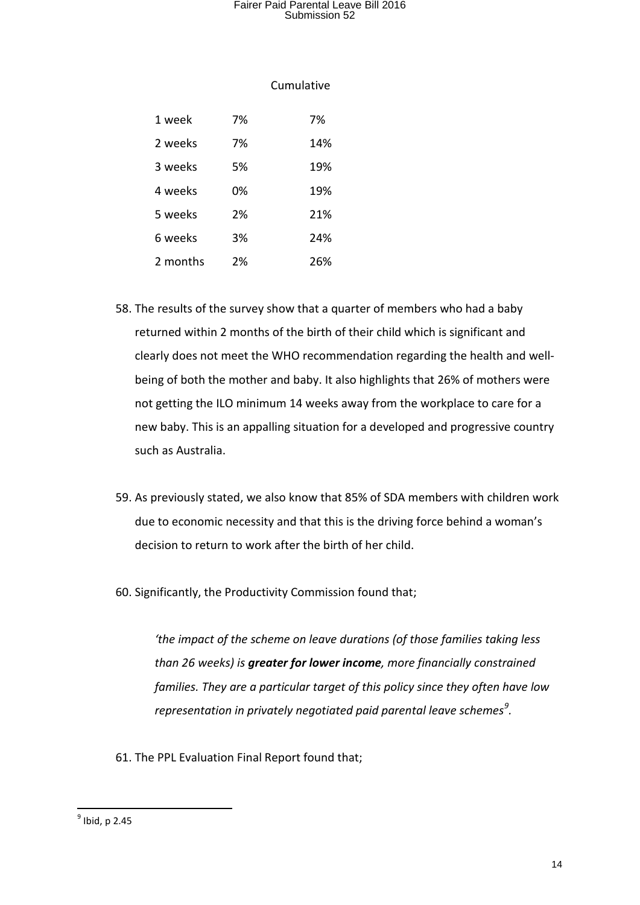#### Cumulative

| 1 week   | 7% | 7%  |
|----------|----|-----|
| 2 weeks  | 7% | 14% |
| 3 weeks  | 5% | 19% |
| 4 weeks  | 0% | 19% |
| 5 weeks  | 2% | 21% |
| 6 weeks  | 3% | 24% |
| 2 months | 2% | 26% |

- 58. The results of the survey show that a quarter of members who had a baby returned within 2 months of the birth of their child which is significant and clearly does not meet the WHO recommendation regarding the health and wellbeing of both the mother and baby. It also highlights that 26% of mothers were not getting the ILO minimum 14 weeks away from the workplace to care for a new baby. This is an appalling situation for a developed and progressive country such as Australia.
- 59. As previously stated, we also know that 85% of SDA members with children work due to economic necessity and that this is the driving force behind a woman's decision to return to work after the birth of her child.
- 60. Significantly, the Productivity Commission found that;

*'the impact of the scheme on leave durations (of those families taking less than 26 weeks) is greater for lower income, more financially constrained families. They are a particular target of this policy since they often have low representation in privately negotiated paid parental leave schemes[9](#page-13-0) .*

61. The PPL Evaluation Final Report found that;

<span id="page-13-0"></span> $<sup>9</sup>$  Ibid, p 2.45</sup>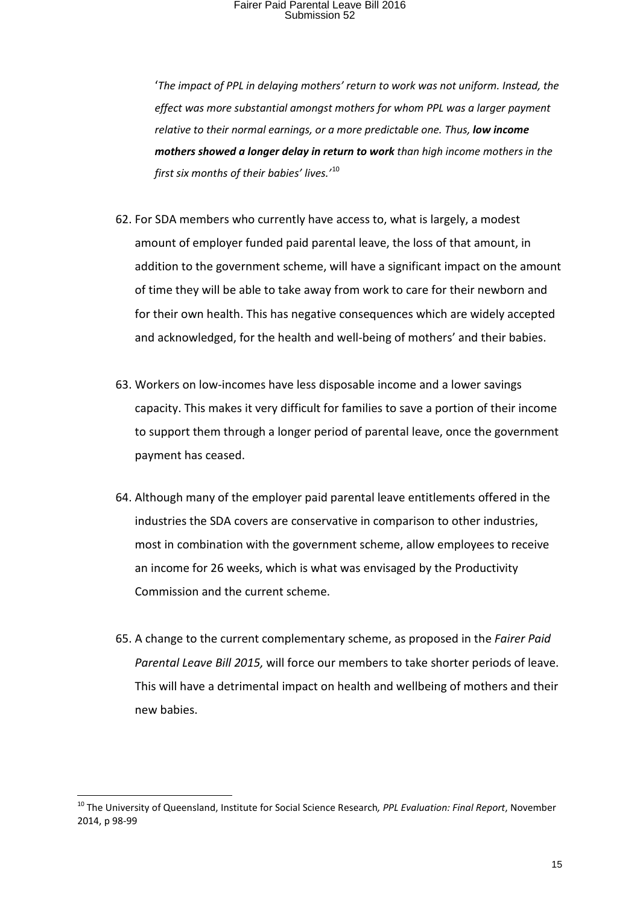'*The impact of PPL in delaying mothers' return to work was not uniform. Instead, the effect was more substantial amongst mothers for whom PPL was a larger payment relative to their normal earnings, or a more predictable one. Thus, low income mothers showed a longer delay in return to work than high income mothers in the first six months of their babies' lives.'*[10](#page-14-0)

- 62. For SDA members who currently have access to, what is largely, a modest amount of employer funded paid parental leave, the loss of that amount, in addition to the government scheme, will have a significant impact on the amount of time they will be able to take away from work to care for their newborn and for their own health. This has negative consequences which are widely accepted and acknowledged, for the health and well-being of mothers' and their babies.
- 63. Workers on low-incomes have less disposable income and a lower savings capacity. This makes it very difficult for families to save a portion of their income to support them through a longer period of parental leave, once the government payment has ceased.
- 64. Although many of the employer paid parental leave entitlements offered in the industries the SDA covers are conservative in comparison to other industries, most in combination with the government scheme, allow employees to receive an income for 26 weeks, which is what was envisaged by the Productivity Commission and the current scheme.
- 65. A change to the current complementary scheme, as proposed in the *Fairer Paid Parental Leave Bill 2015,* will force our members to take shorter periods of leave. This will have a detrimental impact on health and wellbeing of mothers and their new babies.

<span id="page-14-0"></span> <sup>10</sup> The University of Queensland, Institute for Social Science Research*, PPL Evaluation: Final Report*, November 2014, p 98-99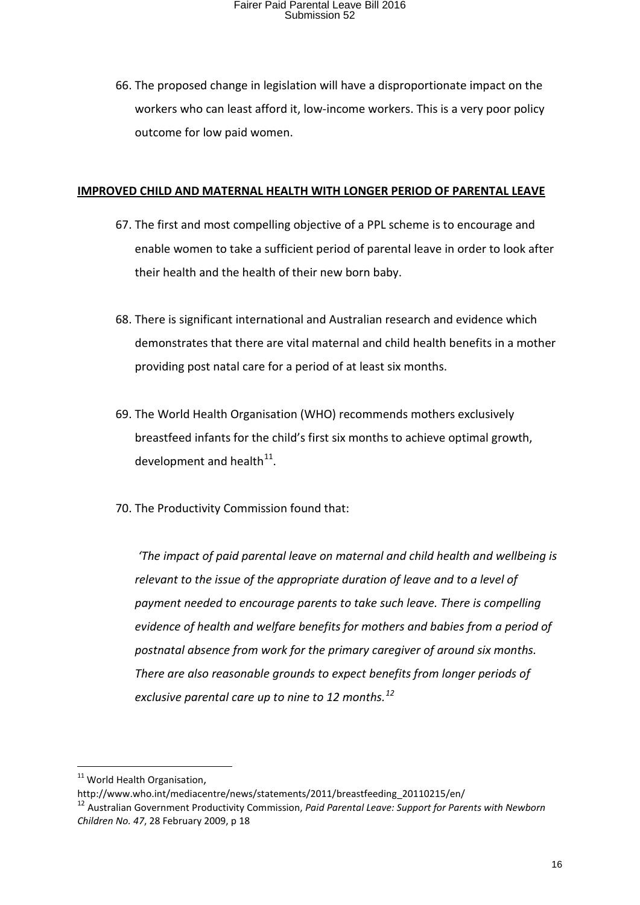66. The proposed change in legislation will have a disproportionate impact on the workers who can least afford it, low-income workers. This is a very poor policy outcome for low paid women.

#### **IMPROVED CHILD AND MATERNAL HEALTH WITH LONGER PERIOD OF PARENTAL LEAVE**

- 67. The first and most compelling objective of a PPL scheme is to encourage and enable women to take a sufficient period of parental leave in order to look after their health and the health of their new born baby.
- 68. There is significant international and Australian research and evidence which demonstrates that there are vital maternal and child health benefits in a mother providing post natal care for a period of at least six months.
- 69. The World Health Organisation (WHO) recommends mothers exclusively breastfeed infants for the child's first six months to achieve optimal growth, development and health $^{11}$  $^{11}$  $^{11}$ .
- 70. The Productivity Commission found that:

*'The impact of paid parental leave on maternal and child health and wellbeing is relevant to the issue of the appropriate duration of leave and to a level of payment needed to encourage parents to take such leave. There is compelling evidence of health and welfare benefits for mothers and babies from a period of postnatal absence from work for the primary caregiver of around six months. There are also reasonable grounds to expect benefits from longer periods of exclusive parental care up to nine to 12 months.[12](#page-15-1)*

<span id="page-15-0"></span><sup>&</sup>lt;sup>11</sup> World Health Organisation,

http://www.who.int/mediacentre/news/statements/2011/breastfeeding\_20110215/en/

<span id="page-15-1"></span><sup>12</sup> Australian Government Productivity Commission, *Paid Parental Leave: Support for Parents with Newborn Children No. 47*, 28 February 2009, p 18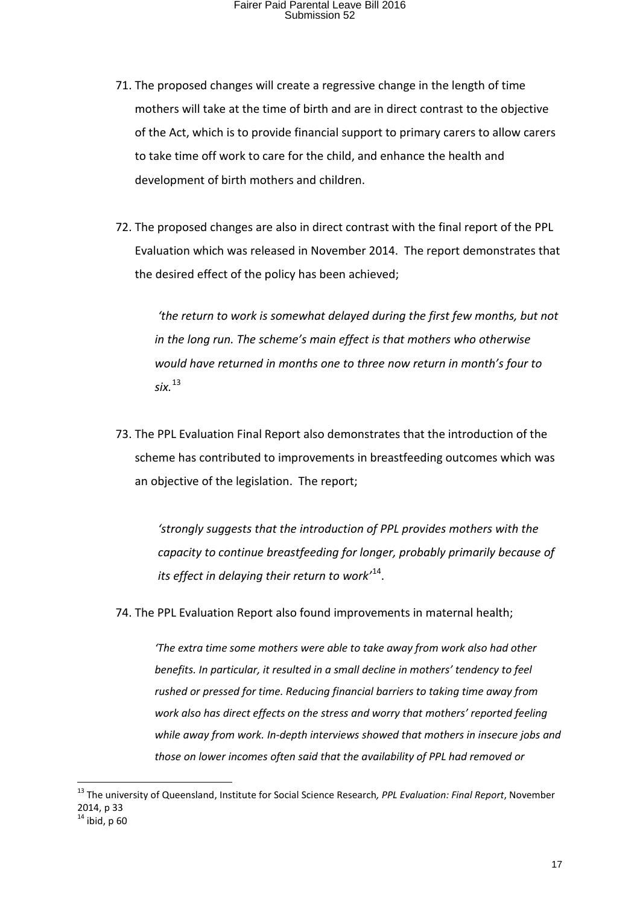- 71. The proposed changes will create a regressive change in the length of time mothers will take at the time of birth and are in direct contrast to the objective of the Act, which is to provide financial support to primary carers to allow carers to take time off work to care for the child, and enhance the health and development of birth mothers and children.
- 72. The proposed changes are also in direct contrast with the final report of the PPL Evaluation which was released in November 2014. The report demonstrates that the desired effect of the policy has been achieved;

*'the return to work is somewhat delayed during the first few months, but not in the long run. The scheme's main effect is that mothers who otherwise would have returned in months one to three now return in month's four to six.*[13](#page-16-0)

73. The PPL Evaluation Final Report also demonstrates that the introduction of the scheme has contributed to improvements in breastfeeding outcomes which was an objective of the legislation. The report;

*'strongly suggests that the introduction of PPL provides mothers with the capacity to continue breastfeeding for longer, probably primarily because of its effect in delaying their return to work'*[14.](#page-16-1)

74. The PPL Evaluation Report also found improvements in maternal health;

*'The extra time some mothers were able to take away from work also had other benefits. In particular, it resulted in a small decline in mothers' tendency to feel rushed or pressed for time. Reducing financial barriers to taking time away from work also has direct effects on the stress and worry that mothers' reported feeling while away from work. In-depth interviews showed that mothers in insecure jobs and those on lower incomes often said that the availability of PPL had removed or* 

<span id="page-16-1"></span><span id="page-16-0"></span> <sup>13</sup> The university of Queensland, Institute for Social Science Research*, PPL Evaluation: Final Report*, November 2014, p 33  $14$  ibid, p 60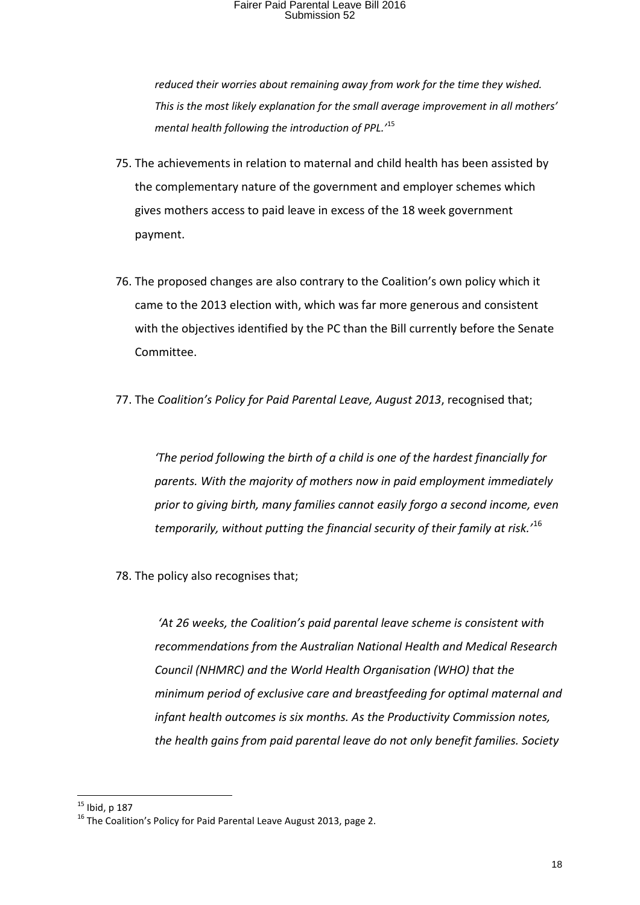*reduced their worries about remaining away from work for the time they wished. This is the most likely explanation for the small average improvement in all mothers' mental health following the introduction of PPL.'*[15](#page-17-0)

- 75. The achievements in relation to maternal and child health has been assisted by the complementary nature of the government and employer schemes which gives mothers access to paid leave in excess of the 18 week government payment.
- 76. The proposed changes are also contrary to the Coalition's own policy which it came to the 2013 election with, which was far more generous and consistent with the objectives identified by the PC than the Bill currently before the Senate Committee.
- 77. The *Coalition's Policy for Paid Parental Leave, August 2013*, recognised that;

*'The period following the birth of a child is one of the hardest financially for parents. With the majority of mothers now in paid employment immediately prior to giving birth, many families cannot easily forgo a second income, even temporarily, without putting the financial security of their family at risk.'*[16](#page-17-1)

78. The policy also recognises that;

*'At 26 weeks, the Coalition's paid parental leave scheme is consistent with recommendations from the Australian National Health and Medical Research Council (NHMRC) and the World Health Organisation (WHO) that the minimum period of exclusive care and breastfeeding for optimal maternal and infant health outcomes is six months. As the Productivity Commission notes, the health gains from paid parental leave do not only benefit families. Society* 

<span id="page-17-1"></span><span id="page-17-0"></span><sup>&</sup>lt;sup>15</sup> Ibid, p 187<br><sup>16</sup> The Coalition's Policy for Paid Parental Leave August 2013, page 2.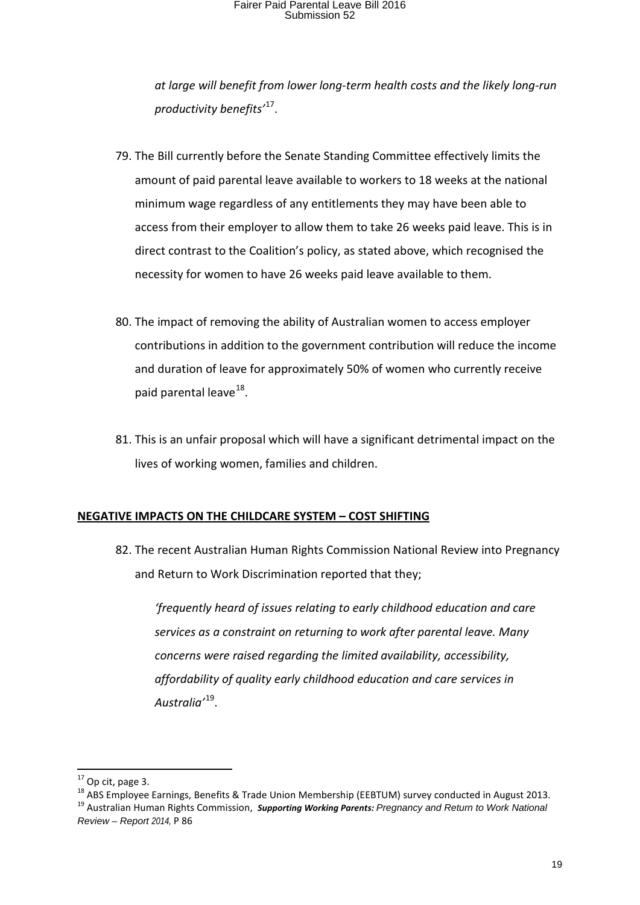*at large will benefit from lower long-term health costs and the likely long-run productivity benefits'*[17](#page-18-0).

- 79. The Bill currently before the Senate Standing Committee effectively limits the amount of paid parental leave available to workers to 18 weeks at the national minimum wage regardless of any entitlements they may have been able to access from their employer to allow them to take 26 weeks paid leave. This is in direct contrast to the Coalition's policy, as stated above, which recognised the necessity for women to have 26 weeks paid leave available to them.
- 80. The impact of removing the ability of Australian women to access employer contributions in addition to the government contribution will reduce the income and duration of leave for approximately 50% of women who currently receive paid parental leave $^{18}$ .
- 81. This is an unfair proposal which will have a significant detrimental impact on the lives of working women, families and children.

#### **NEGATIVE IMPACTS ON THE CHILDCARE SYSTEM – COST SHIFTING**

82. The recent Australian Human Rights Commission National Review into Pregnancy and Return to Work Discrimination reported that they;

*'frequently heard of issues relating to early childhood education and care services as a constraint on returning to work after parental leave. Many concerns were raised regarding the limited availability, accessibility, affordability of quality early childhood education and care services in Australia'*[19](#page-18-2).

<span id="page-18-1"></span><span id="page-18-0"></span><sup>&</sup>lt;sup>17</sup> Op cit, page 3.<br><sup>18</sup> ABS Employee Earnings, Benefits & Trade Union Membership (EEBTUM) survey conducted in August 2013.<br><sup>19</sup> Australian Human Rights Commission, Supporting Working Parents: Pregnancy and Return to Work

<span id="page-18-2"></span>*Review – Report 2014,* P 86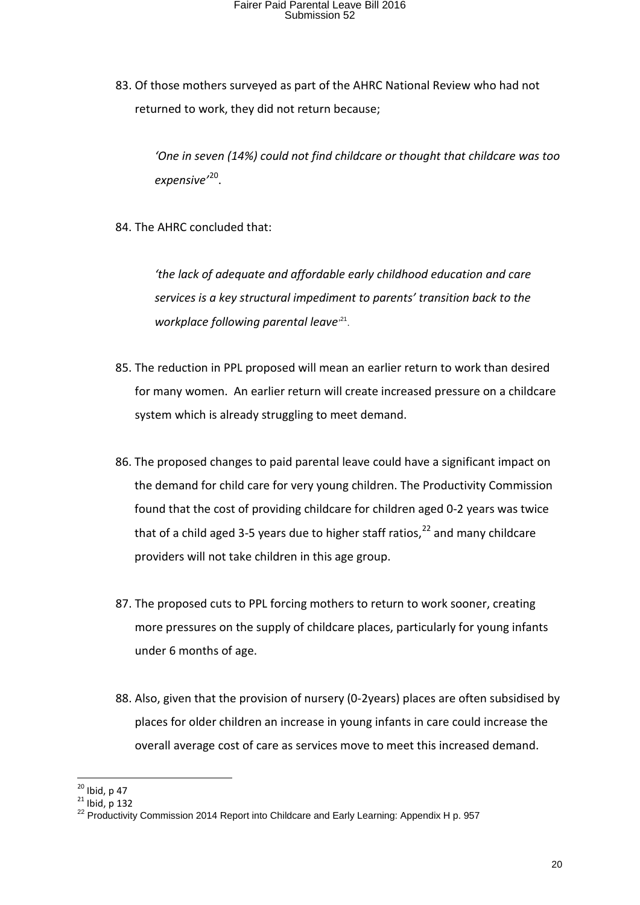83. Of those mothers surveyed as part of the AHRC National Review who had not returned to work, they did not return because;

*'One in seven (14%) could not find childcare or thought that childcare was too expensive'*[20](#page-19-0).

84. The AHRC concluded that:

*'the lack of adequate and affordable early childhood education and care services is a key structural impediment to parents' transition back to the workplace following parental leave'* [21](#page-19-1).

- 85. The reduction in PPL proposed will mean an earlier return to work than desired for many women. An earlier return will create increased pressure on a childcare system which is already struggling to meet demand.
- 86. The proposed changes to paid parental leave could have a significant impact on the demand for child care for very young children. The Productivity Commission found that the cost of providing childcare for children aged 0-2 years was twice that of a child aged 3-5 years due to higher staff ratios,  $^{22}$  $^{22}$  $^{22}$  and many childcare providers will not take children in this age group.
- 87. The proposed cuts to PPL forcing mothers to return to work sooner, creating more pressures on the supply of childcare places, particularly for young infants under 6 months of age.
- 88. Also, given that the provision of nursery (0-2years) places are often subsidised by places for older children an increase in young infants in care could increase the overall average cost of care as services move to meet this increased demand.

<span id="page-19-2"></span>

<span id="page-19-1"></span><span id="page-19-0"></span><sup>&</sup>lt;sup>20</sup> Ibid, p 47<br><sup>21</sup> Ibid, p 132<br><sup>22</sup> Productivity Commission 2014 Report into Childcare and Early Learning: Appendix H p. 957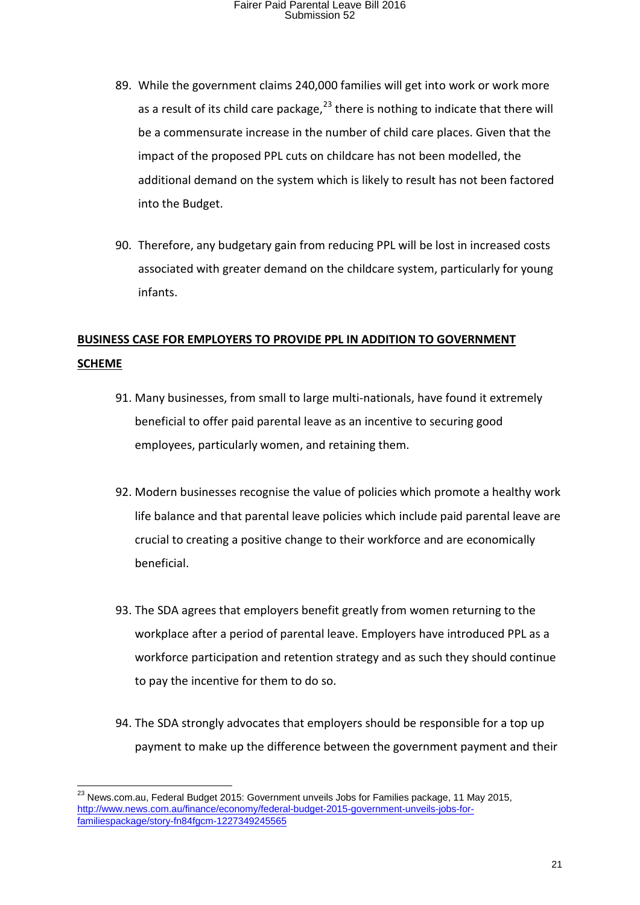- 89. While the government claims 240,000 families will get into work or work more as a result of its child care package, $^{23}$  $^{23}$  $^{23}$  there is nothing to indicate that there will be a commensurate increase in the number of child care places. Given that the impact of the proposed PPL cuts on childcare has not been modelled, the additional demand on the system which is likely to result has not been factored into the Budget.
- 90. Therefore, any budgetary gain from reducing PPL will be lost in increased costs associated with greater demand on the childcare system, particularly for young infants.

#### **BUSINESS CASE FOR EMPLOYERS TO PROVIDE PPL IN ADDITION TO GOVERNMENT SCHEME**

- 91. Many businesses, from small to large multi-nationals, have found it extremely beneficial to offer paid parental leave as an incentive to securing good employees, particularly women, and retaining them.
- 92. Modern businesses recognise the value of policies which promote a healthy work life balance and that parental leave policies which include paid parental leave are crucial to creating a positive change to their workforce and are economically beneficial.
- 93. The SDA agrees that employers benefit greatly from women returning to the workplace after a period of parental leave. Employers have introduced PPL as a workforce participation and retention strategy and as such they should continue to pay the incentive for them to do so.
- 94. The SDA strongly advocates that employers should be responsible for a top up payment to make up the difference between the government payment and their

<span id="page-20-0"></span><sup>&</sup>lt;sup>23</sup> News.com.au, Federal Budget 2015: Government unveils Jobs for Families package, 11 May 2015, http://www.news.com.au/finance/economy/federal-budget-2015-government-unveils-jobs-forfamiliespackage/story-fn84fgcm-1227349245565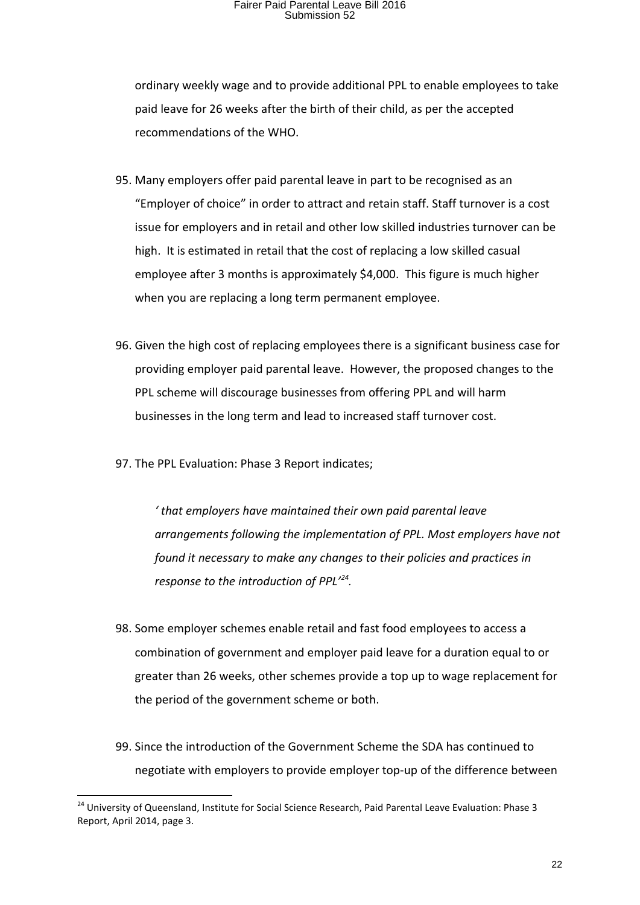ordinary weekly wage and to provide additional PPL to enable employees to take paid leave for 26 weeks after the birth of their child, as per the accepted recommendations of the WHO.

- 95. Many employers offer paid parental leave in part to be recognised as an "Employer of choice" in order to attract and retain staff. Staff turnover is a cost issue for employers and in retail and other low skilled industries turnover can be high. It is estimated in retail that the cost of replacing a low skilled casual employee after 3 months is approximately \$4,000. This figure is much higher when you are replacing a long term permanent employee.
- 96. Given the high cost of replacing employees there is a significant business case for providing employer paid parental leave. However, the proposed changes to the PPL scheme will discourage businesses from offering PPL and will harm businesses in the long term and lead to increased staff turnover cost.
- 97. The PPL Evaluation: Phase 3 Report indicates;

*' that employers have maintained their own paid parental leave arrangements following the implementation of PPL. Most employers have not found it necessary to make any changes to their policies and practices in response to the introduction of PPL'[24](#page-21-0).*

- 98. Some employer schemes enable retail and fast food employees to access a combination of government and employer paid leave for a duration equal to or greater than 26 weeks, other schemes provide a top up to wage replacement for the period of the government scheme or both.
- 99. Since the introduction of the Government Scheme the SDA has continued to negotiate with employers to provide employer top-up of the difference between

<span id="page-21-0"></span><sup>&</sup>lt;sup>24</sup> University of Queensland, Institute for Social Science Research, Paid Parental Leave Evaluation: Phase 3 Report, April 2014, page 3.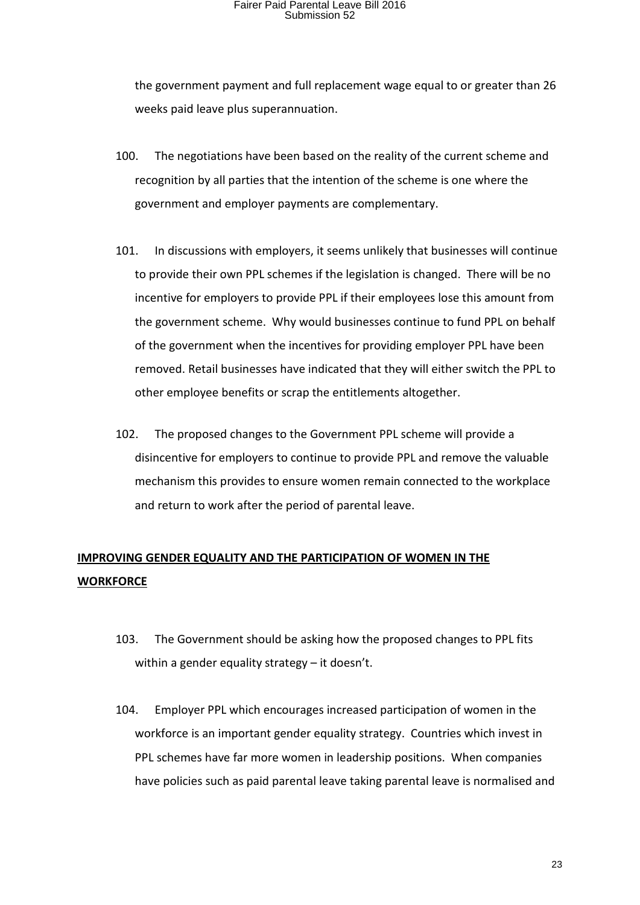the government payment and full replacement wage equal to or greater than 26 weeks paid leave plus superannuation.

- 100. The negotiations have been based on the reality of the current scheme and recognition by all parties that the intention of the scheme is one where the government and employer payments are complementary.
- 101. In discussions with employers, it seems unlikely that businesses will continue to provide their own PPL schemes if the legislation is changed. There will be no incentive for employers to provide PPL if their employees lose this amount from the government scheme. Why would businesses continue to fund PPL on behalf of the government when the incentives for providing employer PPL have been removed. Retail businesses have indicated that they will either switch the PPL to other employee benefits or scrap the entitlements altogether.
- 102. The proposed changes to the Government PPL scheme will provide a disincentive for employers to continue to provide PPL and remove the valuable mechanism this provides to ensure women remain connected to the workplace and return to work after the period of parental leave.

#### **IMPROVING GENDER EQUALITY AND THE PARTICIPATION OF WOMEN IN THE WORKFORCE**

- 103. The Government should be asking how the proposed changes to PPL fits within a gender equality strategy – it doesn't.
- 104. Employer PPL which encourages increased participation of women in the workforce is an important gender equality strategy. Countries which invest in PPL schemes have far more women in leadership positions. When companies have policies such as paid parental leave taking parental leave is normalised and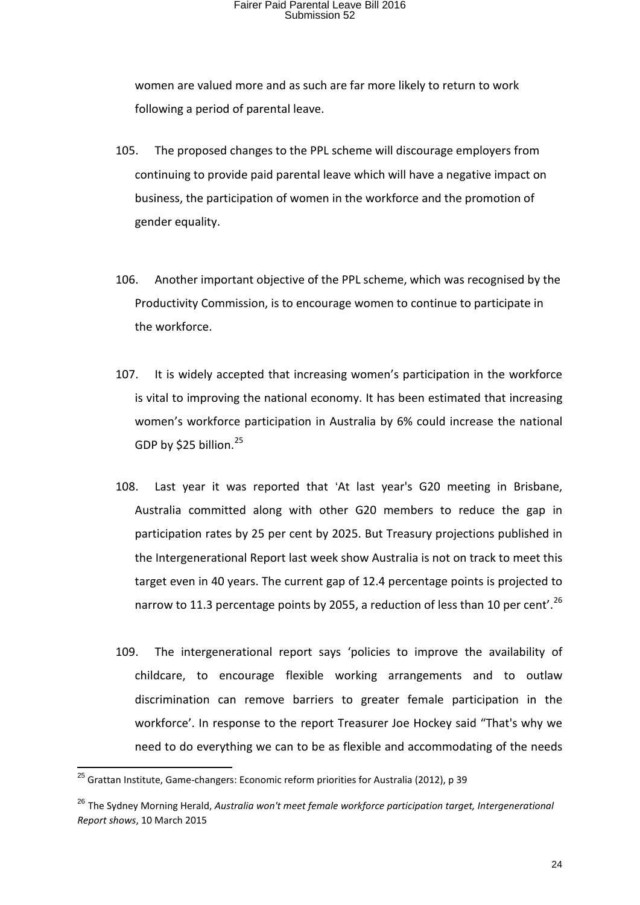women are valued more and as such are far more likely to return to work following a period of parental leave.

- 105. The proposed changes to the PPL scheme will discourage employers from continuing to provide paid parental leave which will have a negative impact on business, the participation of women in the workforce and the promotion of gender equality.
- 106. Another important objective of the PPL scheme, which was recognised by the Productivity Commission, is to encourage women to continue to participate in the workforce.
- 107. It is widely accepted that increasing women's participation in the workforce is vital to improving the national economy. It has been estimated that increasing women's workforce participation in Australia by 6% could increase the national GDP by \$[25](#page-23-0) billion.<sup>25</sup>
- 108. Last year it was reported that 'At last year's G20 meeting in Brisbane, Australia committed along with other G20 members to reduce the gap in participation rates by 25 per cent by 2025. But Treasury projections published in the Intergenerational Report last week show Australia is not on track to meet this target even in 40 years. The current gap of 12.4 percentage points is projected to narrow to 11.3 percentage points by 2055, a reduction of less than 10 per cent'.<sup>[26](#page-23-1)</sup>
- 109. The intergenerational report says 'policies to improve the availability of childcare, to encourage flexible working arrangements and to outlaw discrimination can remove barriers to greater female participation in the workforce'. In response to the report Treasurer Joe Hockey said "That's why we need to do everything we can to be as flexible and accommodating of the needs

<span id="page-23-0"></span> $^{25}$  Grattan Institute, Game-changers: Economic reform priorities for Australia (2012), p 39

<span id="page-23-1"></span><sup>26</sup> The Sydney Morning Herald, *Australia won't meet female workforce participation target, Intergenerational Report shows*, 10 March 2015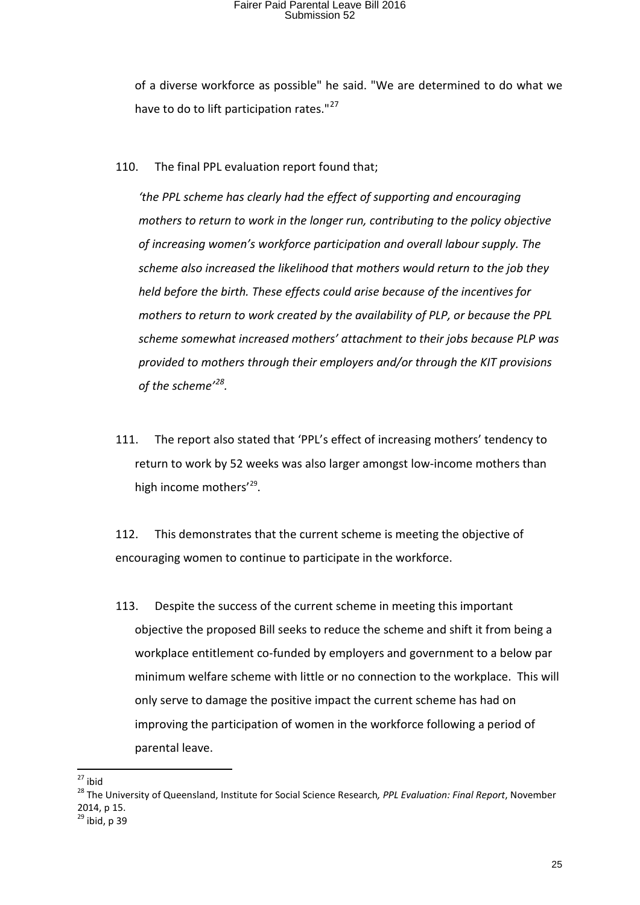of a diverse workforce as possible" he said. "We are determined to do what we have to do to lift participation rates."<sup>[27](#page-24-0)</sup>

110. The final PPL evaluation report found that;

*'the PPL scheme has clearly had the effect of supporting and encouraging mothers to return to work in the longer run, contributing to the policy objective of increasing women's workforce participation and overall labour supply. The scheme also increased the likelihood that mothers would return to the job they held before the birth. These effects could arise because of the incentives for mothers to return to work created by the availability of PLP, or because the PPL scheme somewhat increased mothers' attachment to their jobs because PLP was provided to mothers through their employers and/or through the KIT provisions of the scheme'[28.](#page-24-1)* 

111. The report also stated that 'PPL's effect of increasing mothers' tendency to return to work by 52 weeks was also larger amongst low-income mothers than high income mothers'<sup>29</sup>.

112. This demonstrates that the current scheme is meeting the objective of encouraging women to continue to participate in the workforce.

113. Despite the success of the current scheme in meeting this important objective the proposed Bill seeks to reduce the scheme and shift it from being a workplace entitlement co-funded by employers and government to a below par minimum welfare scheme with little or no connection to the workplace. This will only serve to damage the positive impact the current scheme has had on improving the participation of women in the workforce following a period of parental leave.

<span id="page-24-2"></span>

<span id="page-24-1"></span><span id="page-24-0"></span><sup>&</sup>lt;sup>27</sup> ibid<br><sup>28</sup> The University of Queensland, Institute for Social Science Research, *PPL Evaluation: Final Report*, November 2014, p 15.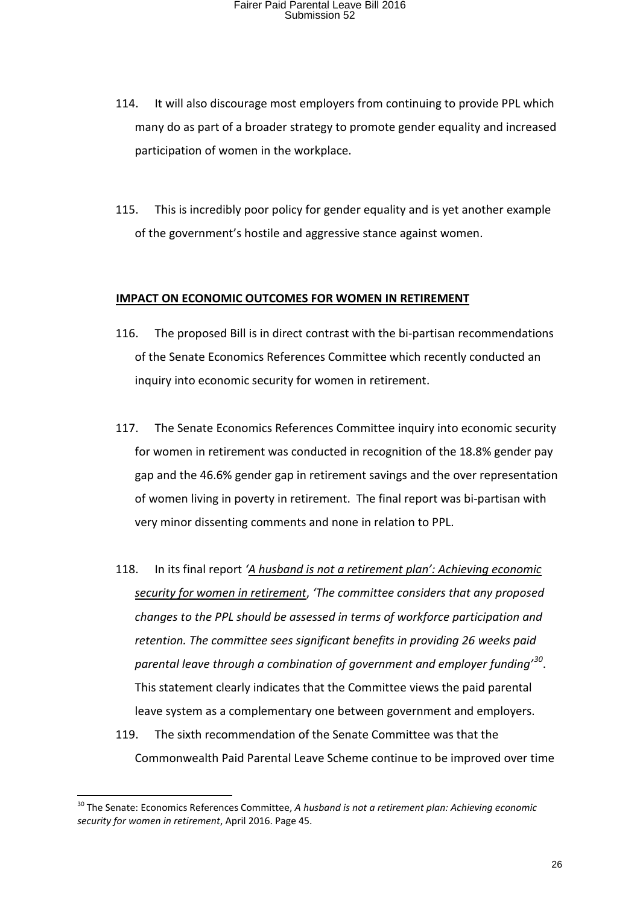- 114. It will also discourage most employers from continuing to provide PPL which many do as part of a broader strategy to promote gender equality and increased participation of women in the workplace.
- 115. This is incredibly poor policy for gender equality and is yet another example of the government's hostile and aggressive stance against women.

#### **IMPACT ON ECONOMIC OUTCOMES FOR WOMEN IN RETIREMENT**

- 116. The proposed Bill is in direct contrast with the bi-partisan recommendations of the Senate Economics References Committee which recently conducted an inquiry into economic security for women in retirement.
- 117. The Senate Economics References Committee inquiry into economic security for women in retirement was conducted in recognition of the 18.8% gender pay gap and the 46.6% gender gap in retirement savings and the over representation of women living in poverty in retirement. The final report was bi-partisan with very minor dissenting comments and none in relation to PPL.
- 118. In its final report *'A husband is not a retirement plan': Achieving economic security for women in retirement*, *'The committee considers that any proposed changes to the PPL should be assessed in terms of workforce participation and retention. The committee sees significant benefits in providing 26 weeks paid parental leave through a combination of government and employer funding'[30](#page-25-0)*. This statement clearly indicates that the Committee views the paid parental leave system as a complementary one between government and employers.
- 119. The sixth recommendation of the Senate Committee was that the Commonwealth Paid Parental Leave Scheme continue to be improved over time

<span id="page-25-0"></span> <sup>30</sup> The Senate: Economics References Committee, *<sup>A</sup> husband is not a retirement plan: Achieving economic security for women in retirement*, April 2016. Page 45.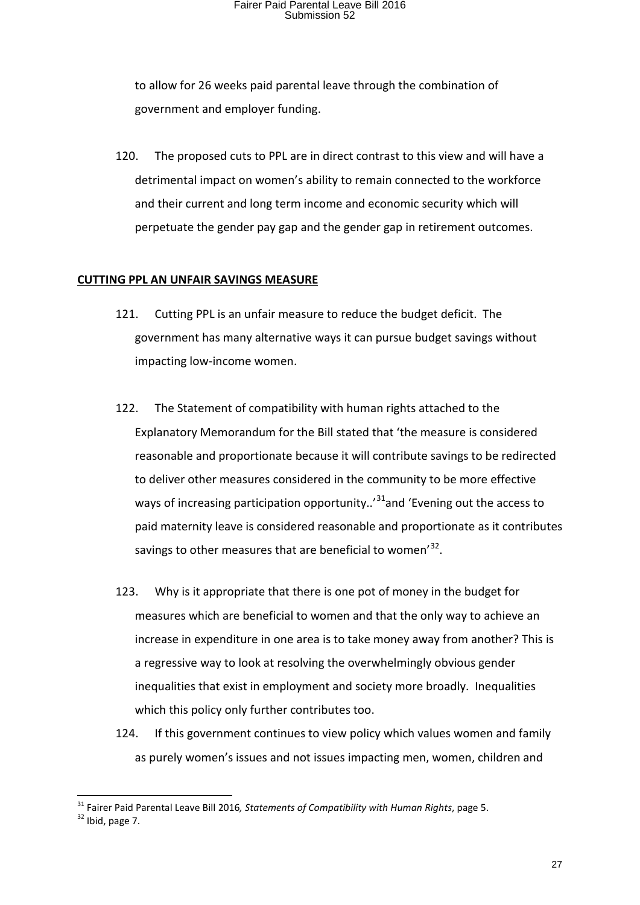to allow for 26 weeks paid parental leave through the combination of government and employer funding.

120. The proposed cuts to PPL are in direct contrast to this view and will have a detrimental impact on women's ability to remain connected to the workforce and their current and long term income and economic security which will perpetuate the gender pay gap and the gender gap in retirement outcomes.

#### **CUTTING PPL AN UNFAIR SAVINGS MEASURE**

- 121. Cutting PPL is an unfair measure to reduce the budget deficit. The government has many alternative ways it can pursue budget savings without impacting low-income women.
- 122. The Statement of compatibility with human rights attached to the Explanatory Memorandum for the Bill stated that 'the measure is considered reasonable and proportionate because it will contribute savings to be redirected to deliver other measures considered in the community to be more effective ways of increasing participation opportunity.. $31$  and 'Evening out the access to paid maternity leave is considered reasonable and proportionate as it contributes savings to other measures that are beneficial to women'<sup>32</sup>.
- 123. Why is it appropriate that there is one pot of money in the budget for measures which are beneficial to women and that the only way to achieve an increase in expenditure in one area is to take money away from another? This is a regressive way to look at resolving the overwhelmingly obvious gender inequalities that exist in employment and society more broadly. Inequalities which this policy only further contributes too.
- 124. If this government continues to view policy which values women and family as purely women's issues and not issues impacting men, women, children and

<span id="page-26-1"></span><span id="page-26-0"></span><sup>&</sup>lt;sup>31</sup> Fairer Paid Parental Leave Bill 2016, Statements of Compatibility with Human Rights, page 5.<br><sup>32</sup> Ibid. page 7.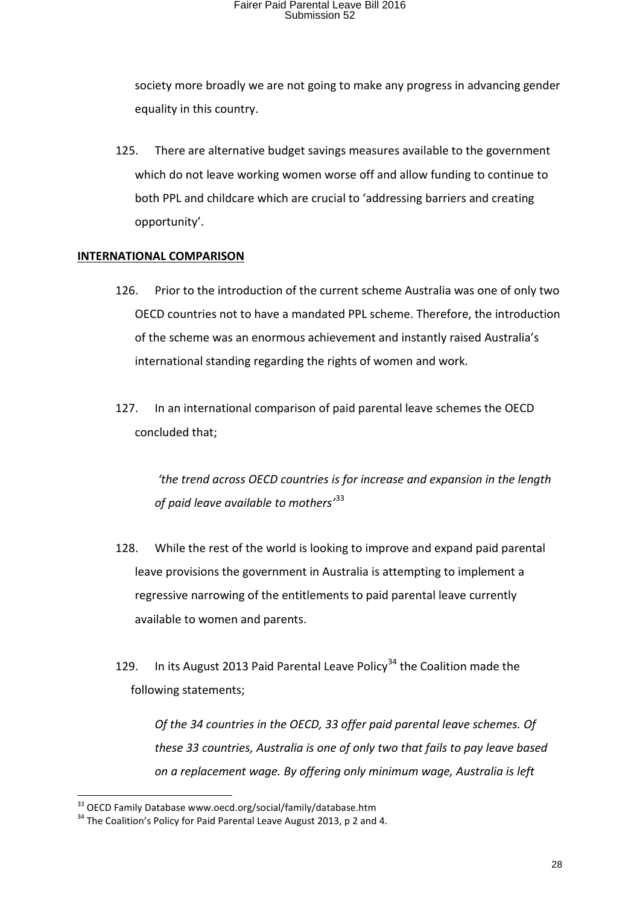society more broadly we are not going to make any progress in advancing gender equality in this country.

125. There are alternative budget savings measures available to the government which do not leave working women worse off and allow funding to continue to both PPL and childcare which are crucial to 'addressing barriers and creating opportunity'.

#### **INTERNATIONAL COMPARISON**

- 126. Prior to the introduction of the current scheme Australia was one of only two OECD countries not to have a mandated PPL scheme. Therefore, the introduction of the scheme was an enormous achievement and instantly raised Australia's international standing regarding the rights of women and work.
- 127. In an international comparison of paid parental leave schemes the OECD concluded that;

*'the trend across OECD countries is for increase and expansion in the length of paid leave available to mothers'*[33](#page-27-0)

- 128. While the rest of the world is looking to improve and expand paid parental leave provisions the government in Australia is attempting to implement a regressive narrowing of the entitlements to paid parental leave currently available to women and parents.
- 129. In its August 2013 Paid Parental Leave Policy<sup>[34](#page-27-1)</sup> the Coalition made the following statements;

*Of the 34 countries in the OECD, 33 offer paid parental leave schemes. Of these 33 countries, Australia is one of only two that fails to pay leave based on a replacement wage. By offering only minimum wage, Australia is left* 

<span id="page-27-1"></span><span id="page-27-0"></span> $33$  OECD Family Database www.oecd.org/social/family/database.htm<br> $34$  The Coalition's Policy for Paid Parental Leave August 2013, p 2 and 4.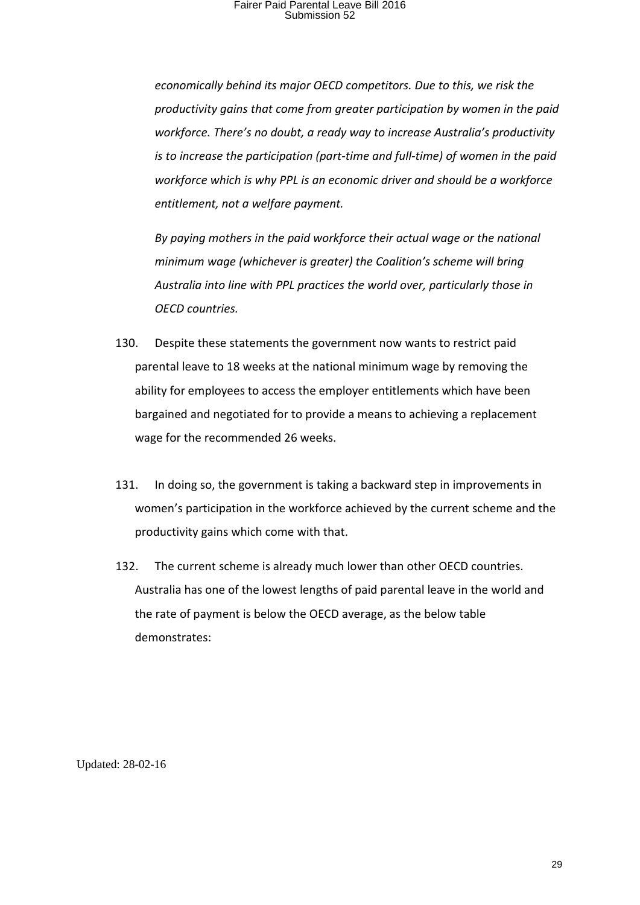*economically behind its major OECD competitors. Due to this, we risk the productivity gains that come from greater participation by women in the paid workforce. There's no doubt, a ready way to increase Australia's productivity is to increase the participation (part-time and full-time) of women in the paid workforce which is why PPL is an economic driver and should be a workforce entitlement, not a welfare payment.*

*By paying mothers in the paid workforce their actual wage or the national minimum wage (whichever is greater) the Coalition's scheme will bring Australia into line with PPL practices the world over, particularly those in OECD countries.*

- 130. Despite these statements the government now wants to restrict paid parental leave to 18 weeks at the national minimum wage by removing the ability for employees to access the employer entitlements which have been bargained and negotiated for to provide a means to achieving a replacement wage for the recommended 26 weeks.
- 131. In doing so, the government is taking a backward step in improvements in women's participation in the workforce achieved by the current scheme and the productivity gains which come with that.
- 132. The current scheme is already much lower than other OECD countries. Australia has one of the lowest lengths of paid parental leave in the world and the rate of payment is below the OECD average, as the below table demonstrates:

Updated: 28-02-16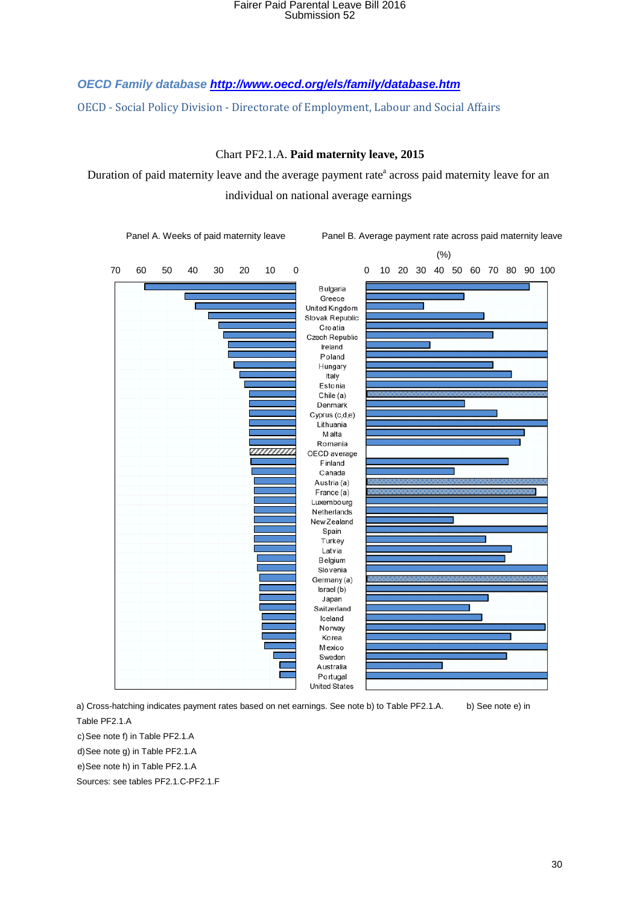*OECD Family databas[e](http://www.oecd.org/els/family/database.htm) <http://www.oecd.org/els/family/database.htm>*

OECD - Social Policy Division - Directorate of Employment, Labour and Social Affairs

Chart PF2.1.A. **Paid maternity leave, 2015** 

Duration of paid maternity leave and the average payment rate<sup>a</sup> across paid maternity leave for an individual on national average earnings



a) Cross-hatching indicates payment rates based on net earnings. See note b) to Table PF2.1.A. b) See note e) in

Table PF2.1.A

c) See note f) in Table PF2.1.A

d)See note g) in Table PF2.1.A

e)See note h) in Table PF2.1.A

Sources: see tables PF2.1.C-PF2.1.F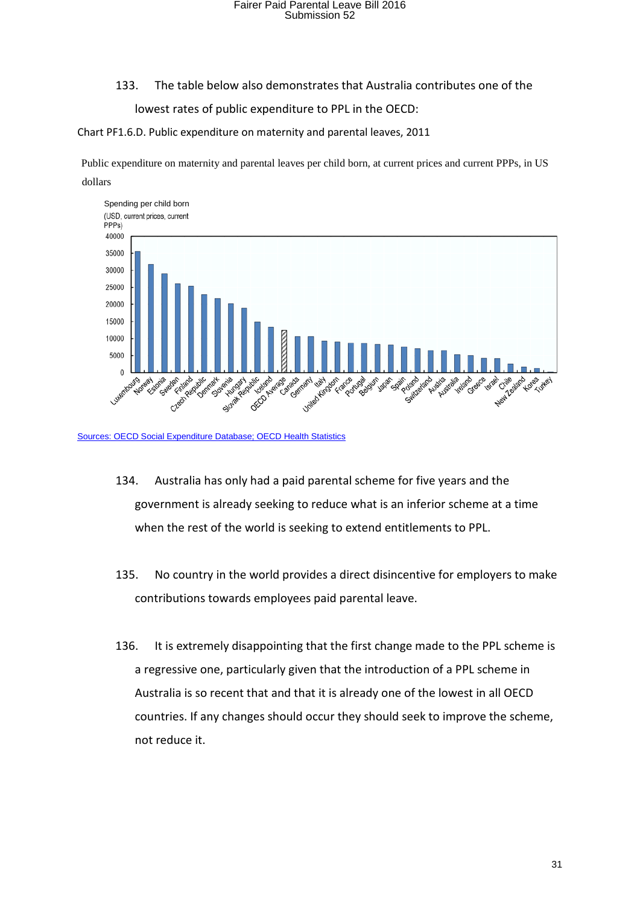#### 133. The table below also demonstrates that Australia contributes one of the

lowest rates of public expenditure to PPL in the OECD:

Chart PF1.6.D. Public expenditure on maternity and parental leaves, 2011

Public expenditure on maternity and parental leaves per child born, at current prices and current PPPs, in US dollars



[Sources: OECD Social Expenditure Database;](http://www.oecd.org/social/expenditure.htm) [OECD Health Statistics](http://www.oecd.org/els/health-systems/health-data.htm)

- 134. Australia has only had a paid parental scheme for five years and the government is already seeking to reduce what is an inferior scheme at a time when the rest of the world is seeking to extend entitlements to PPL.
- 135. No country in the world provides a direct disincentive for employers to make contributions towards employees paid parental leave.
- 136. It is extremely disappointing that the first change made to the PPL scheme is a regressive one, particularly given that the introduction of a PPL scheme in Australia is so recent that and that it is already one of the lowest in all OECD countries. If any changes should occur they should seek to improve the scheme, not reduce it.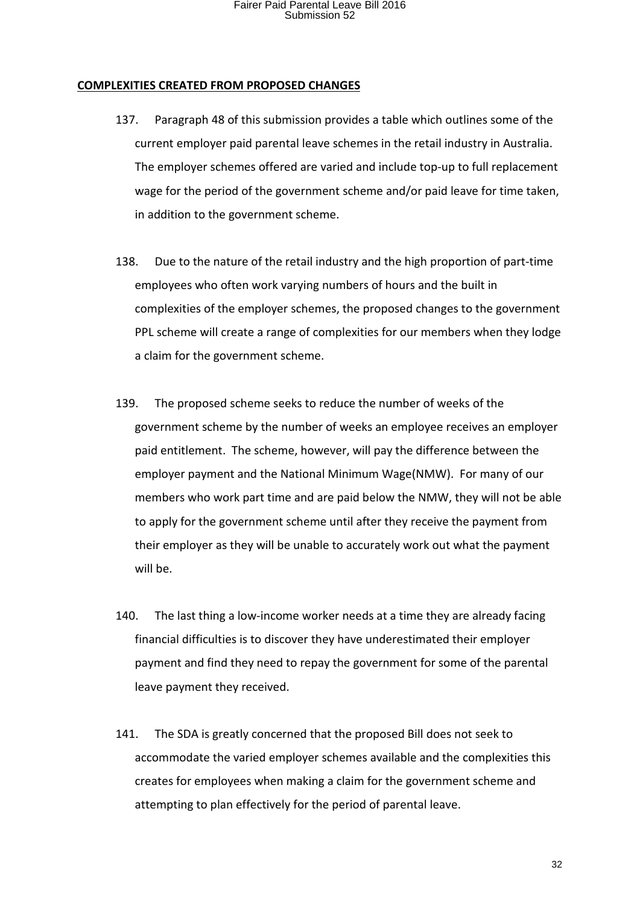#### **COMPLEXITIES CREATED FROM PROPOSED CHANGES**

- 137. Paragraph 48 of this submission provides a table which outlines some of the current employer paid parental leave schemes in the retail industry in Australia. The employer schemes offered are varied and include top-up to full replacement wage for the period of the government scheme and/or paid leave for time taken, in addition to the government scheme.
- 138. Due to the nature of the retail industry and the high proportion of part-time employees who often work varying numbers of hours and the built in complexities of the employer schemes, the proposed changes to the government PPL scheme will create a range of complexities for our members when they lodge a claim for the government scheme.
- 139. The proposed scheme seeks to reduce the number of weeks of the government scheme by the number of weeks an employee receives an employer paid entitlement. The scheme, however, will pay the difference between the employer payment and the National Minimum Wage(NMW). For many of our members who work part time and are paid below the NMW, they will not be able to apply for the government scheme until after they receive the payment from their employer as they will be unable to accurately work out what the payment will be.
- 140. The last thing a low-income worker needs at a time they are already facing financial difficulties is to discover they have underestimated their employer payment and find they need to repay the government for some of the parental leave payment they received.
- 141. The SDA is greatly concerned that the proposed Bill does not seek to accommodate the varied employer schemes available and the complexities this creates for employees when making a claim for the government scheme and attempting to plan effectively for the period of parental leave.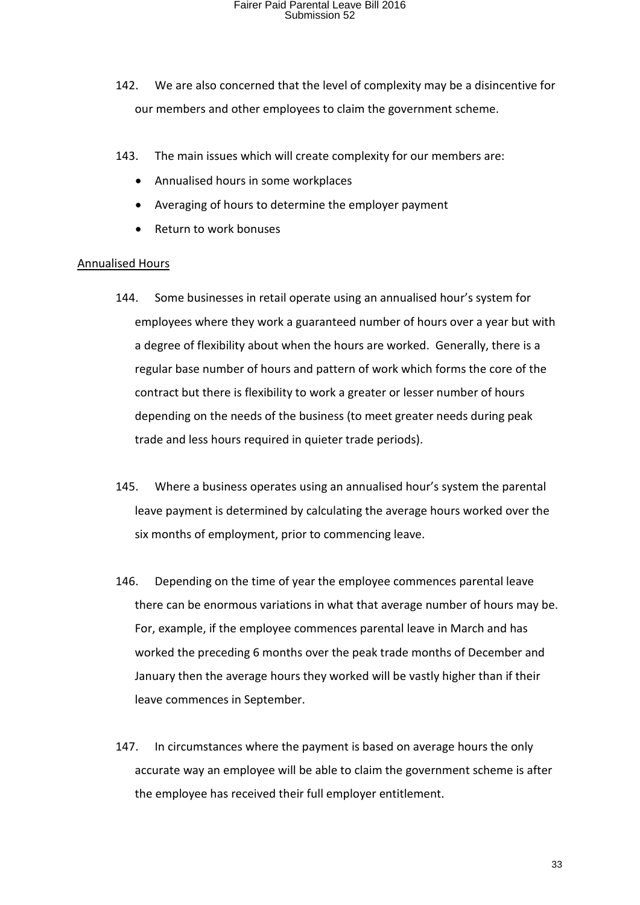- 142. We are also concerned that the level of complexity may be a disincentive for our members and other employees to claim the government scheme.
- 143. The main issues which will create complexity for our members are:
	- Annualised hours in some workplaces
	- Averaging of hours to determine the employer payment
	- Return to work bonuses

#### Annualised Hours

- 144. Some businesses in retail operate using an annualised hour's system for employees where they work a guaranteed number of hours over a year but with a degree of flexibility about when the hours are worked. Generally, there is a regular base number of hours and pattern of work which forms the core of the contract but there is flexibility to work a greater or lesser number of hours depending on the needs of the business (to meet greater needs during peak trade and less hours required in quieter trade periods).
- 145. Where a business operates using an annualised hour's system the parental leave payment is determined by calculating the average hours worked over the six months of employment, prior to commencing leave.
- 146. Depending on the time of year the employee commences parental leave there can be enormous variations in what that average number of hours may be. For, example, if the employee commences parental leave in March and has worked the preceding 6 months over the peak trade months of December and January then the average hours they worked will be vastly higher than if their leave commences in September.
- 147. In circumstances where the payment is based on average hours the only accurate way an employee will be able to claim the government scheme is after the employee has received their full employer entitlement.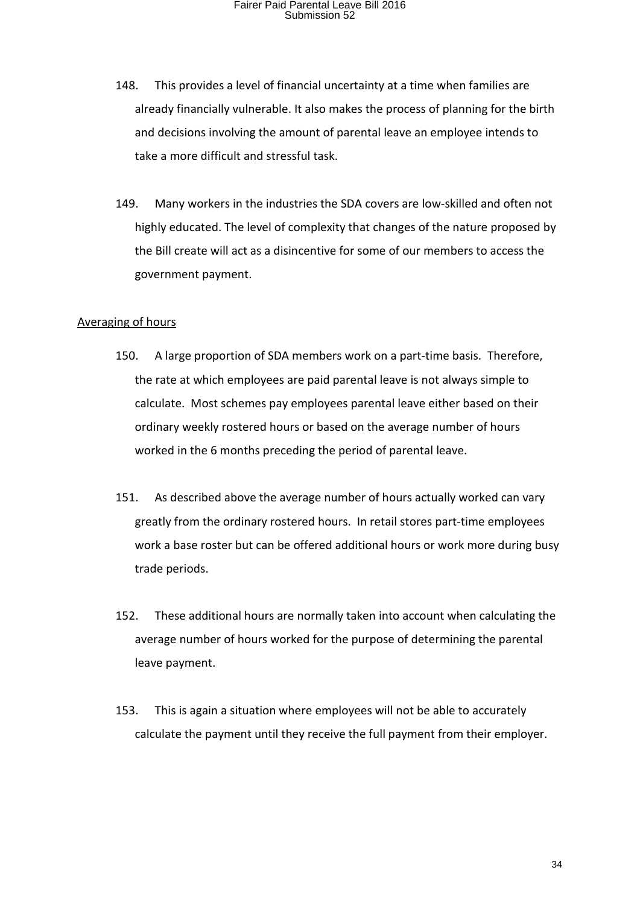- 148. This provides a level of financial uncertainty at a time when families are already financially vulnerable. It also makes the process of planning for the birth and decisions involving the amount of parental leave an employee intends to take a more difficult and stressful task.
- 149. Many workers in the industries the SDA covers are low-skilled and often not highly educated. The level of complexity that changes of the nature proposed by the Bill create will act as a disincentive for some of our members to access the government payment.

#### Averaging of hours

- 150. A large proportion of SDA members work on a part-time basis. Therefore, the rate at which employees are paid parental leave is not always simple to calculate. Most schemes pay employees parental leave either based on their ordinary weekly rostered hours or based on the average number of hours worked in the 6 months preceding the period of parental leave.
- 151. As described above the average number of hours actually worked can vary greatly from the ordinary rostered hours. In retail stores part-time employees work a base roster but can be offered additional hours or work more during busy trade periods.
- 152. These additional hours are normally taken into account when calculating the average number of hours worked for the purpose of determining the parental leave payment.
- 153. This is again a situation where employees will not be able to accurately calculate the payment until they receive the full payment from their employer.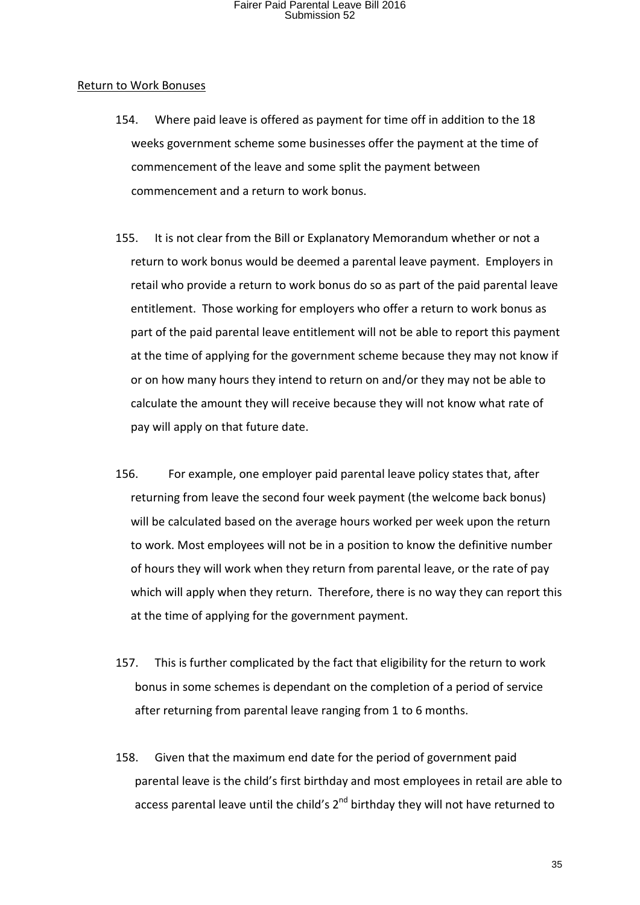#### Return to Work Bonuses

- 154. Where paid leave is offered as payment for time off in addition to the 18 weeks government scheme some businesses offer the payment at the time of commencement of the leave and some split the payment between commencement and a return to work bonus.
- 155. It is not clear from the Bill or Explanatory Memorandum whether or not a return to work bonus would be deemed a parental leave payment. Employers in retail who provide a return to work bonus do so as part of the paid parental leave entitlement. Those working for employers who offer a return to work bonus as part of the paid parental leave entitlement will not be able to report this payment at the time of applying for the government scheme because they may not know if or on how many hours they intend to return on and/or they may not be able to calculate the amount they will receive because they will not know what rate of pay will apply on that future date.
- 156. For example, one employer paid parental leave policy states that, after returning from leave the second four week payment (the welcome back bonus) will be calculated based on the average hours worked per week upon the return to work. Most employees will not be in a position to know the definitive number of hours they will work when they return from parental leave, or the rate of pay which will apply when they return. Therefore, there is no way they can report this at the time of applying for the government payment.
- 157. This is further complicated by the fact that eligibility for the return to work bonus in some schemes is dependant on the completion of a period of service after returning from parental leave ranging from 1 to 6 months.
- 158. Given that the maximum end date for the period of government paid parental leave is the child's first birthday and most employees in retail are able to access parental leave until the child's  $2^{nd}$  birthday they will not have returned to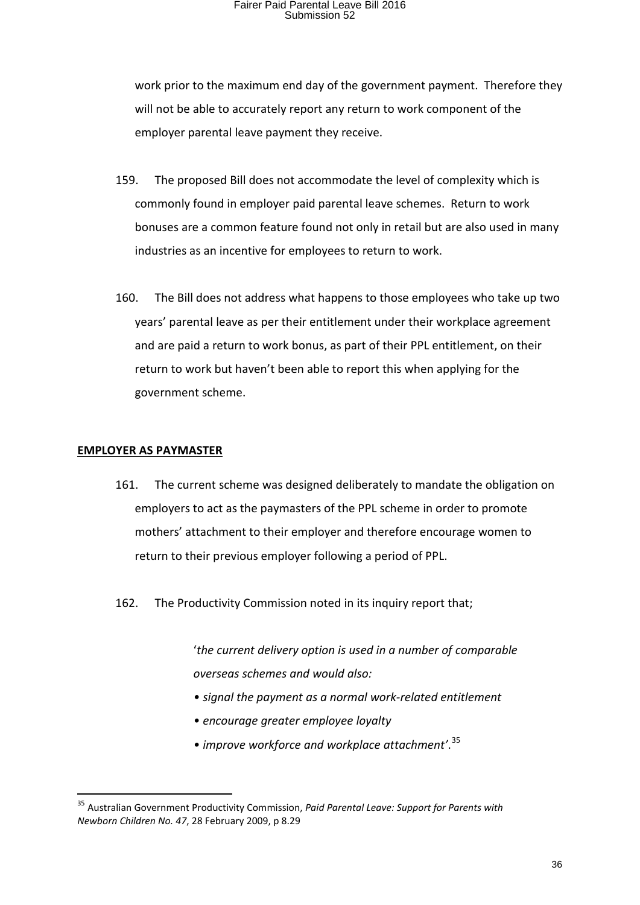work prior to the maximum end day of the government payment. Therefore they will not be able to accurately report any return to work component of the employer parental leave payment they receive.

- 159. The proposed Bill does not accommodate the level of complexity which is commonly found in employer paid parental leave schemes. Return to work bonuses are a common feature found not only in retail but are also used in many industries as an incentive for employees to return to work.
- 160. The Bill does not address what happens to those employees who take up two years' parental leave as per their entitlement under their workplace agreement and are paid a return to work bonus, as part of their PPL entitlement, on their return to work but haven't been able to report this when applying for the government scheme.

#### **EMPLOYER AS PAYMASTER**

- 161. The current scheme was designed deliberately to mandate the obligation on employers to act as the paymasters of the PPL scheme in order to promote mothers' attachment to their employer and therefore encourage women to return to their previous employer following a period of PPL.
- 162. The Productivity Commission noted in its inquiry report that;

'*the current delivery option is used in a number of comparable overseas schemes and would also:*

- *signal the payment as a normal work-related entitlement*
- *encourage greater employee loyalty*
- *improve workforce and workplace attachment'*. [35](#page-35-0)

<span id="page-35-0"></span> <sup>35</sup> Australian Government Productivity Commission, *Paid Parental Leave: Support for Parents with Newborn Children No. 47*, 28 February 2009, p 8.29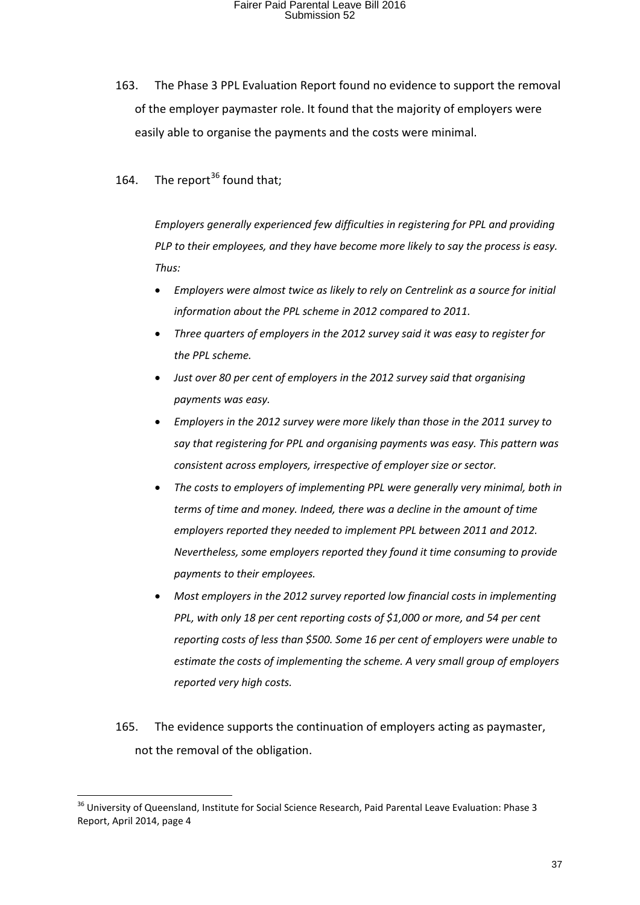163. The Phase 3 PPL Evaluation Report found no evidence to support the removal of the employer paymaster role. It found that the majority of employers were easily able to organise the payments and the costs were minimal.

164. The report  $36$  found that:

*Employers generally experienced few difficulties in registering for PPL and providing PLP to their employees, and they have become more likely to say the process is easy. Thus:*

- *Employers were almost twice as likely to rely on Centrelink as a source for initial information about the PPL scheme in 2012 compared to 2011.*
- *Three quarters of employers in the 2012 survey said it was easy to register for the PPL scheme.*
- *Just over 80 per cent of employers in the 2012 survey said that organising payments was easy.*
- *Employers in the 2012 survey were more likely than those in the 2011 survey to say that registering for PPL and organising payments was easy. This pattern was consistent across employers, irrespective of employer size or sector.*
- *The costs to employers of implementing PPL were generally very minimal, both in terms of time and money. Indeed, there was a decline in the amount of time employers reported they needed to implement PPL between 2011 and 2012. Nevertheless, some employers reported they found it time consuming to provide payments to their employees.*
- *Most employers in the 2012 survey reported low financial costs in implementing PPL, with only 18 per cent reporting costs of \$1,000 or more, and 54 per cent reporting costs of less than \$500. Some 16 per cent of employers were unable to estimate the costs of implementing the scheme. A very small group of employers reported very high costs.*
- 165. The evidence supports the continuation of employers acting as paymaster, not the removal of the obligation.

<span id="page-36-0"></span><sup>&</sup>lt;sup>36</sup> University of Queensland, Institute for Social Science Research, Paid Parental Leave Evaluation: Phase 3 Report, April 2014, page 4